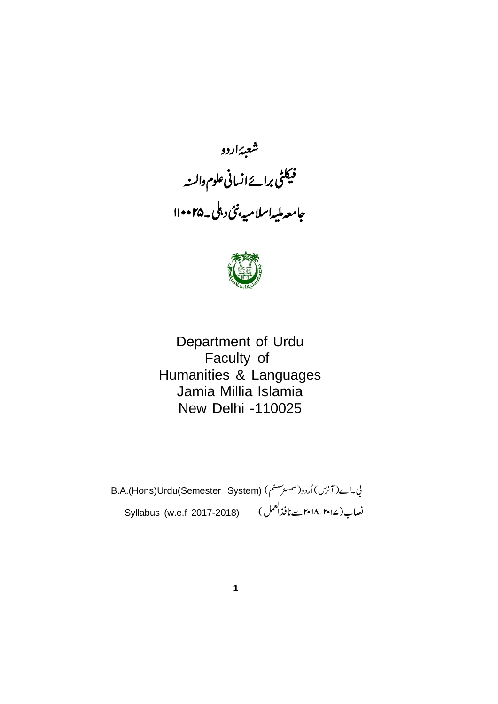



Department of Urdu Faculty of Humanities & Languages Jamia Millia Islamia New Delhi -110025

B.A.(Hons)Urdu(Semester System) Syllabus (w.e.f 2017-2018) نصاب(۲۰۱۷-۲۰۱۸ سےنافذال<sup>عم</sup>ل )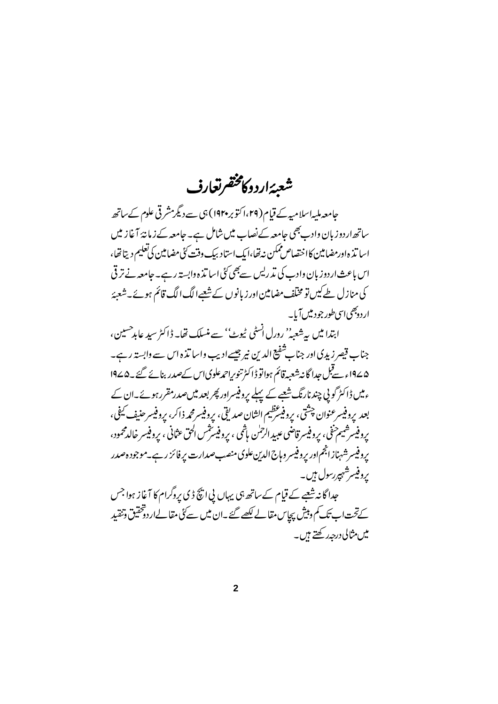# شعبهٔاردوکامختفرتغارف

حامعہ ملیہاسلامیہ کے قیام(۲۹،اکتوبر ۱۹۲۰) ہی سے دیگرمشرقی علوم کے ساتھ ساتھ اردوزبان وادب بھی جامعہ کےنصاب میں شامل ہے۔ جامعہ کے زمانۂ آغاز میں اسا تذ ه اور مضامین کا اختصاص ممکن نه تھا،ایک استاد بیک وقت کُی مضامین کی تعلیم دیتا تھا، اس باعث اردوز بان وادب کی تذریس سے بھی کئی اسا تذہ وابستہ رہے۔جامعہ نے ترقی کی منازل طےکیں تو مختلف مضامین اور زبانوں کے شعبےالگ الگ قائم ہوئے۔شعبۂ ار دوجھی اسی طور جود میں آیا۔

ابتدا میں پہ شعبہ'' رورل انسٹی ٹیوٹ'' سے منسلک تھا۔ ڈاکٹر سید عابد حسین، جناب قیصر زیدی اور جناب تنفیع الدین نیر جیسے ادیب واسا تذہ اس سے وابستہ رہے۔ ۵∠۱۹ء سےقبل جدا گانہ شعبہ قائم ہواتو ڈاکٹر تنویراحمدعلویااس کےصدر بنائے گئے ۔۱۹۷۵ ءمیں ڈاکٹر گویی چندنارنگ شعبے کے پہلے پروفیسراور پھر بعد میں صدرمقرر ہوئے۔ان کے بعد پروفيسرعنوان چشتي، پروفيسَرَظيم الشان صديقي، پروفيسرمحمه ذاكر، پروفيسرحنيف كيفي، پروفيسرشيم خفي، پروفيسر قاضي عبيد الرحلن باشي ، پروفيسٽس الحق عثاني ، پروفيسر خالدمحمود، پروفیسرشهناز انجم اور پروفیسر وہاج الدین علوی منصب صدارت پر فائز رہے۔موجودہ صدر ىروفيسرشىمپررسول ہيں۔ جدا گانہ شعبے کے قیام کے ساتھ ہی یہاں پی انچ ڈی پروگرام کا آغاز ہوا جس کے تحت اب تک کم دبیش پچاس مقالے لکھے گئے ۔ان میں سے کئی مقالےاردوختیق وتنقید میں مثالی درجہ رکھتے ہیں۔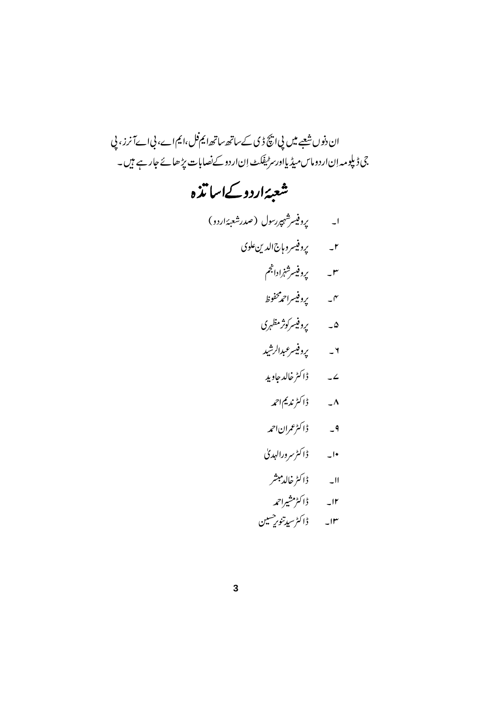# ان دنوں شعبے میں پی انکچ ڈی کے ساتھ ساتھ ایم فل ،ایم اے، پی اےآ نرز ، پی .<br>جی ڈیلومہ اِن اردوماس میڈیااور سر ٹیفکٹ اِن اردو کے نصابات پڑھائے جار ہے ہیں۔

# شعبئةاردوكےاسا تذه

 ۲\_ پروفیسروہاج الدین علوی ۳۔ پروفیسرشنرادانجم ۴۔ پروفیسراحمدمحفوظ ۵۔ یروفیسرکونز مظہری ۲ *په د پي*وفيس*رعبدالرشيد* ے۔ ڈاکٹرخالدجاوید ۸۔ ڈاکٹرندیماحمہ ۹\_ ڈاکٹرعمراناحمہ ۱۰۔ ڈاکٹرسرورالہدی اا۔ ڈاکٹرخالدمبشر ۱۲۔ ڈاکٹرمشیراحمہ ۱۳۔ ڈاکٹرسیدتنور<sup>حسین</sup>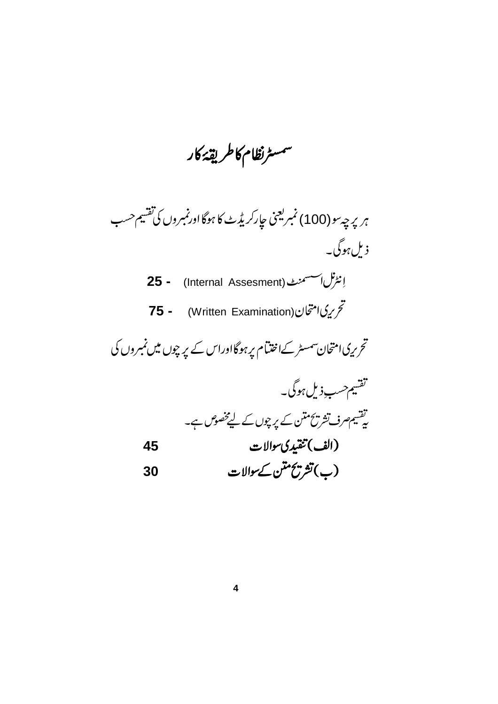سمسرنظام كاطريقة كار

ہر پر چہ سو (100) نمبر یعنی حارکر یڈٹ کا ہوگا اور نمبروں کی تفسیم حسب ذیل ہوگی۔

 **25 -** (Internal Assesment)  **75 -** (Written Examination)

نحر ریک امتحان سمسٹر کےاختتام پر ہوگا اوراس کے پر چوں میں نمبروں کی

 **45**

$$
\frac{1}{2} \frac{1}{2} \frac{1}{2} \frac{1}{2} \frac{1}{2} \frac{1}{2} \frac{1}{2} \frac{1}{2} \frac{1}{2} \frac{1}{2} \frac{1}{2} \frac{1}{2} \frac{1}{2} \frac{1}{2} \frac{1}{2} \frac{1}{2} \frac{1}{2} \frac{1}{2} \frac{1}{2} \frac{1}{2} \frac{1}{2} \frac{1}{2} \frac{1}{2} \frac{1}{2} \frac{1}{2} \frac{1}{2} \frac{1}{2} \frac{1}{2} \frac{1}{2} \frac{1}{2} \frac{1}{2} \frac{1}{2} \frac{1}{2} \frac{1}{2} \frac{1}{2} \frac{1}{2} \frac{1}{2} \frac{1}{2} \frac{1}{2} \frac{1}{2} \frac{1}{2} \frac{1}{2} \frac{1}{2} \frac{1}{2} \frac{1}{2} \frac{1}{2} \frac{1}{2} \frac{1}{2} \frac{1}{2} \frac{1}{2} \frac{1}{2} \frac{1}{2} \frac{1}{2} \frac{1}{2} \frac{1}{2} \frac{1}{2} \frac{1}{2} \frac{1}{2} \frac{1}{2} \frac{1}{2} \frac{1}{2} \frac{1}{2} \frac{1}{2} \frac{1}{2} \frac{1}{2} \frac{1}{2} \frac{1}{2} \frac{1}{2} \frac{1}{2} \frac{1}{2} \frac{1}{2} \frac{1}{2} \frac{1}{2} \frac{1}{2} \frac{1}{2} \frac{1}{2} \frac{1}{2} \frac{1}{2} \frac{1}{2} \frac{1}{2} \frac{1}{2} \frac{1}{2} \frac{1}{2} \frac{1}{2} \frac{1}{2} \frac{1}{2} \frac{1}{2} \frac{1}{2} \frac{1}{2} \frac{1}{2} \frac{1}{2} \frac{1}{2} \frac{1}{2} \frac{1}{2} \frac{1}{2} \frac{1}{2} \frac{1}{2} \frac{1}{2} \frac{1}{2} \frac{1}{2} \frac{1}{2} \frac{1}{2} \frac{1}{2} \frac{1}{2} \frac{1}{2} \frac{1}{2} \frac{1}{2} \frac{1}{2} \frac{1
$$

**30**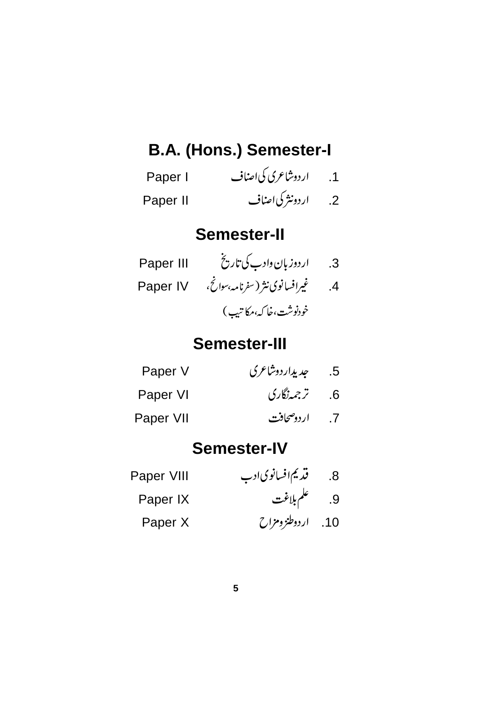## **B.A. (Hons.) Semester-I**

| Paper I  | ار دوشاعری کی اصناف | .1              |
|----------|---------------------|-----------------|
| Paper II | اردونثر کی اصناف    | $\overline{.2}$ |

### **Semester-II**

| Paper III | اردوزبان دادب کی تاریخ          | $\cdot$ 3 |
|-----------|---------------------------------|-----------|
| Paper IV  | غیرافسانوی نثر (سفرنامه بهوانج، | .4        |
|           | خودنوشت،خا كە،مكاتىپ)           |           |

### **Semester-III**

| Paper V   | جد پداردوشاعری | .5 |
|-----------|----------------|----|
| Paper VI  | 6. ترجمەنگارى  |    |
| Paper VII | 7. اردوصحافت   |    |

### **Semester-IV**

| Paper VIII | قدیم افسانوی ادب  | .8 |
|------------|-------------------|----|
| Paper IX   | 9. علم بلاغت      |    |
| Paper X    | 10. اردوطنز ومزاح |    |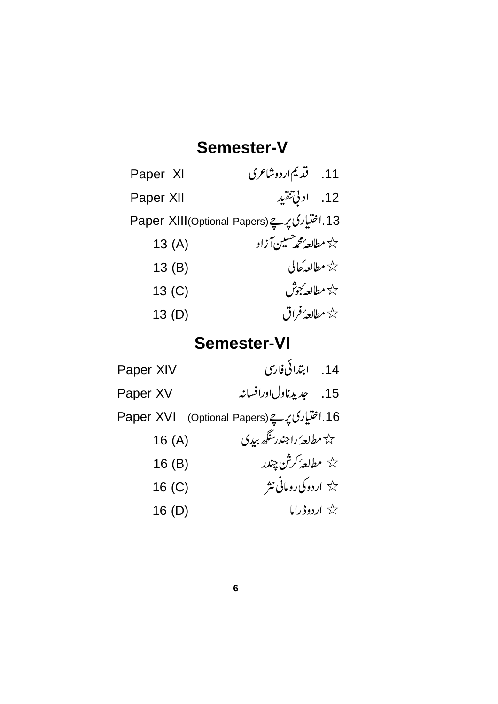### **Semester-V**

| Paper XI          | 11. قدیم اردوشاعری                                |  |
|-------------------|---------------------------------------------------|--|
| Paper XII         | 12. ادبي تنقيد                                    |  |
|                   | 13.اختیاری پرچے(Paper XIII(Optional Papers)       |  |
| 13(A)             | حک <sup>ہ</sup> مطالعہ محم <sup>صیب</sup> ن آ زاد |  |
| 13(B)             | حيثة مطالعهُ حالي                                 |  |
| 13 <sub>(C)</sub> | حدم مطالع <b>ه بجو</b> ش                          |  |
| 13(D)             | حد <del>ًا مطالعهُ فر</del> اق                    |  |

### **Semester-VI**

| Paper XIV                                      | 14. ابتدائی فارسی                             |
|------------------------------------------------|-----------------------------------------------|
| Paper XV                                       | 15. چدیدناولاورافسانه                         |
| 16.اختیاری پر ہے (Optional Papers)   Paper XVI |                                               |
| 16(A)                                          | ے کہ مطالع <i>ہُ ر</i> اجندر <i>سگھ بید</i> ی |
| 16(B)                                          | حي <sup>ل</sup> ة مطالعهُ كرشْن چندر          |
| 16 <sub>(C)</sub>                              | حیحة اردوکی رومانی نثر                        |
| 16(D)                                          | گڈ اردوڈراما                                  |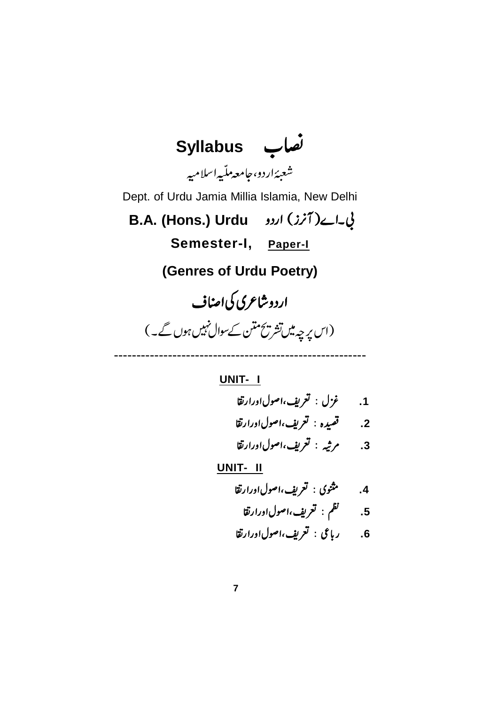

#### **UNIT- I**

 **.1 .2 .3 UNIT- II .4 .5 .6**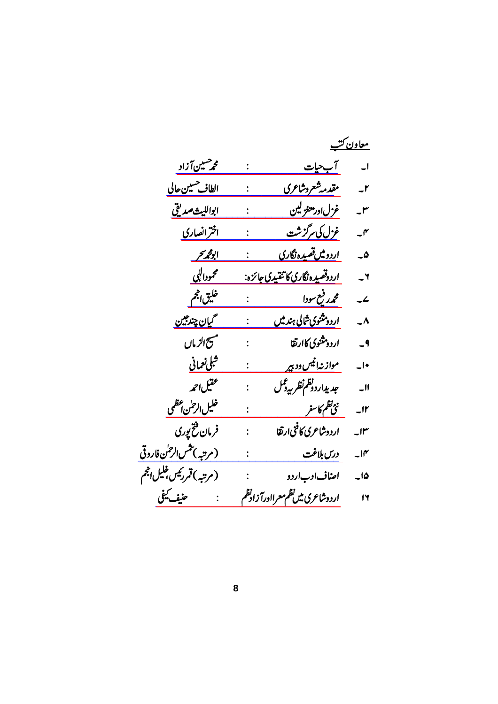|                                   |                                          | <u>معاون کتب</u>         |
|-----------------------------------|------------------------------------------|--------------------------|
| محم <sup>صیین</sup> آزاد          | <u>آب حیات</u>                           | $\overline{\phantom{0}}$ |
| الطاف <sup>حسين</sup> حالي        | مقدمه شعروشاعرى                          | $-1$                     |
| ابوالليث <i>صد</i> يق             | غز <u>ل اور معنو لين</u>                 | $\mathsf{r}$             |
| اخرانصاری                         | <u>غزل کی مرگزشت</u>                     | $-^{\prime\prime}$       |
| ابو <u>محريحر</u>                 | ا <u>ردومیں تصیدہ نگاری</u>              | ھ۔                       |
| محموداليي                         | ا <u>ردوقصیده نگاری کا تنقیدی جائزه:</u> | $-1$                     |
| خليق الجحم                        | محمدر فيع سودا                           | $\overline{\phantom{a}}$ |
| گیان چند جین                      | ار <u>دومثنوی شالی ہند میں</u>           | $\overline{\phantom{a}}$ |
| مسح الزماں                        | اردو ثثنوي كاارتقا<br>$\ddot{\cdot}$     | $-9$                     |
| <u>شلى نعمانى</u>                 | م <u>واز نهانیس ود بیر</u>               | $\overline{\phantom{a}}$ |
| عقيل احمه                         | جد يداردونظم نظر بيدفخل                  | $\overline{\phantom{0}}$ |
| خليل الرح <mark>س عظمى</mark>     | <u>نئ<sup>اظ</sup>م کاسفر</u>            | u٢                       |
| فرمان فتح پوری                    | اردوشاعرى كافنىارتقا                     | $\mathsf{H}^\mathsf{r}$  |
| (مرتبه) <i>تثس الرح</i> لن فاروقی | درس بلاغت                                | $\overline{\phantom{a}}$ |
| (مرتبه)قمررئیں <i>ف</i> لیلانجم   | اصاف ادب اردو                            | ۱۵_                      |
| حنيف كيفى                         | اردوشاعرى ميں نظم معرااورآ زادنظم        | $\mathsf{I}$             |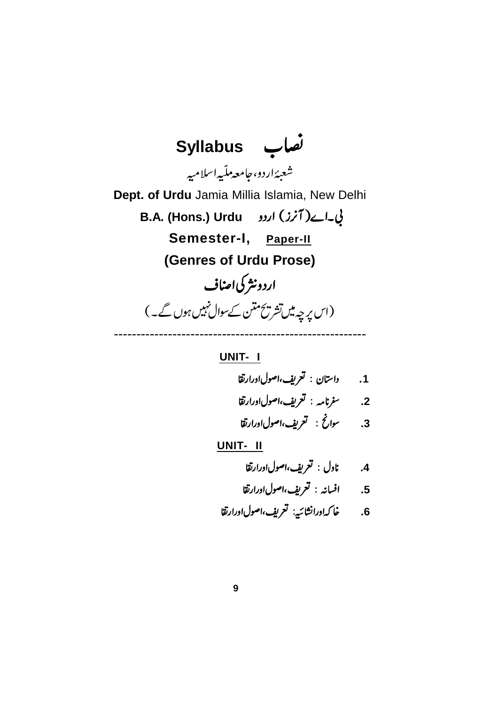

#### **UNIT- I**

- **.1** 2. سفرنامه : تعريف،اصولاورارتقا
- **.3**

- **.4**
- **.5**
- **.6**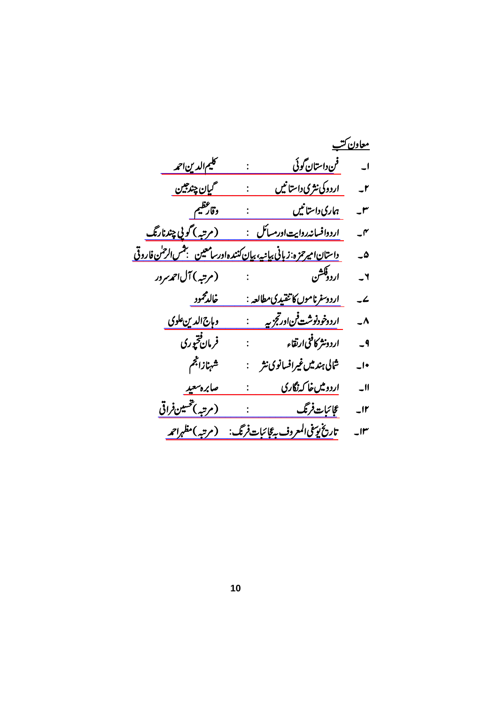|                              | <u>معاون کتب</u>                                                               |                          |
|------------------------------|--------------------------------------------------------------------------------|--------------------------|
| <u>کليم الدين احمه</u>       |                                                                                |                          |
| <u> گیان چند جین</u>         | <u>اردوکی نثری داستانیں</u><br>$\mathbb{R}^{\mathbb{Z}^{\times}}$              | $-1$                     |
| وقارعظيم                     | ہماری داستانیں                                                                 | $-^{\prime\prime}$       |
| <u>(مرتبه) گویی چندنارنگ</u> | <u>اردوافسانه روایت اورمسائل    :</u>                                          | $\mathcal{I}$            |
|                              | <u> داستان اميرحزه: زبانی بيانيه، بيان کنندهادرسامعين همجنس الرحمٰن فاروقی</u> | ۵۔                       |
| (مرتبه)آل حمەسردر            | اردوقشن<br>اردوقشن                                                             | ٢۔                       |
| <u>خالدمحمود</u>             | <u>اردوسفرناموں کا تنقیدی مطالعہ :</u>                                         | ے۔                       |
| <u>وہاج الدین علوی</u>       | <u>اردوخودنوشت فن ورجحزيه مسبق</u>                                             | $\overline{\phantom{a}}$ |
| فرمان فتحبوري                | اردونثر کافنی ارتقاء <sub>،</sub> نیست با                                      | $-9$                     |
| شهنازالجم                    | شالى ہندميںغيرافسانوى نثر                                                      | $\overline{\phantom{a}}$ |
| صابره سعيد                   | اردومیں خاکہ نگاری                                                             | $\overline{\phantom{0}}$ |
| (مرتبه) <i>تحس</i> ین فراقی  | عجائبات فرنگ مستخصص :                                                          | $-Ir$                    |
| (مرتبه)مظہراحمہ              | تاريخ يوسفى المعروف بهءًإ ئبات فرنگ:                                           | $\mathsf{u}$             |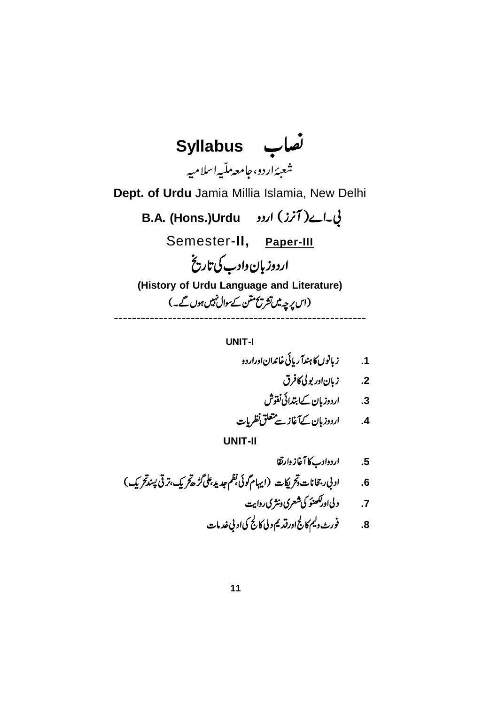**Syllabus** شعبئةاردو، جامعه ملّيه اسلاميه **Dept. of Urdu** Jamia Millia Islamia, New Delhi **B.A. (Hons.)Urdu**  Semester-**II, Paper-III** اردوزبان دادب کی تاریخ **(History of Urdu Language and Literature)** (اس پہ چہ میں تشریح متن کے سوال نہیں ہوں گے۔) --------------------------------------------------------

**UNIT-I**

**.1**

**.2**

**.3**

**.4**

**.5**

 **.6**

**.7**

**.8**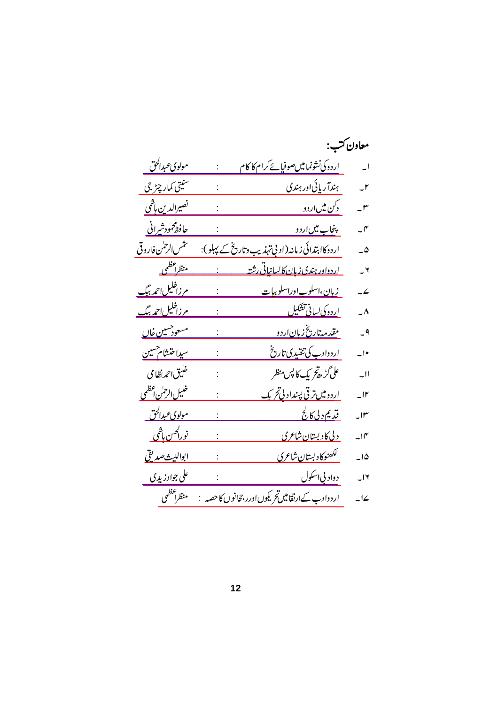| معاون ڪتب:               |                                                           |                                          |
|--------------------------|-----------------------------------------------------------|------------------------------------------|
| $\overline{\phantom{a}}$ | <u>اردوکی نشونمامیں صوفیائے کرام کا کام</u>               | <u>مولويء برالحق</u>                     |
| $-1$                     | ہندآ ریائی اور ہندی                                       | سنيتي كمار چٹر جي                        |
| $-^{\prime\prime}$       | <u>دکن میںاردو</u>                                        | <u>نصيرالدين ہاٿمي</u>                   |
| $\mathcal{I}$            | <u> پنجاب میںاردو</u>                                     | <u>حافظ</u> محمودش <u>یرانی</u>          |
| $\overline{\omega}$      | ارددکا <u> ہتدائی زمانہ(اد بی تہذیب وتاریخ کے پہلو)</u> : | تثمس الرحمٰن فاروقى                      |
| $\mathsf{r}$             | <u>اردواور ہندی زبان کالسانیاتی رشتہ</u>                  | <u>منظراعظمی</u>                         |
| $\overline{\phantom{a}}$ | <u>زبان،اسلوباوراسلوبيات</u>                              | <u>مرزاغلیل احمد بیگ</u>                 |
| $\mathcal{L}^{\Lambda}$  | <u>اردوكي لساني تشكيل</u>                                 | <u>مرزاخلیل احمہ بیگ</u>                 |
| $-9$                     | <u>مقدمه تاریخ زبان اردو</u>                              | <u>مسعود مین خاں</u>                     |
| $\overline{\phantom{a}}$ | <u>اردوادب کی تنقیدی تاریخ</u>                            | سيداختشام هنين                           |
| $-11$                    | على گڑ ر <i>خ ي</i> ک کا پس منظر                          | خليق احمدنظامي                           |
| $-11$                    | ا <u>ردومیں ترقی پسنداد پی تحریک</u>                      | <u>خليل الرحمٰن اعظمى</u>                |
| $\mathsf{H}^{\mu}$       | <u>قديم د لي کالج</u>                                     | <u>مولويء بدالحق</u>                     |
| $-10^{\circ}$            | د <u>لى كادېستان شاعرى</u>                                | <u>نورا<sup>ڪس</sup> پا<sup>ش</sup>ي</u> |
| $-10$                    | لكھنوكا دېستان شاعري                                      | <u>ابوالليث صديقى</u>                    |
| $-14$                    | <u>دواد بي اسکول</u>                                      | علي جوادز پڍي                            |
| $\overline{\phantom{a}}$ | اردوادب کےارتقامیںتح یکوں اورر جحانوں کا حصہ              | منظراعظمى                                |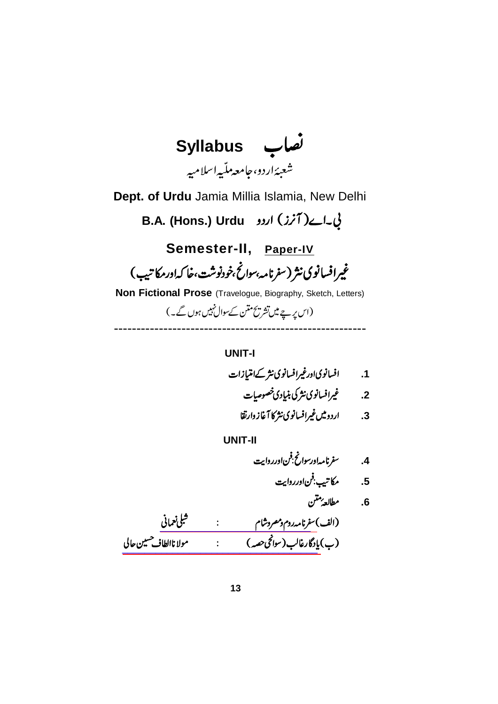

**UNIT-I**

**.1**

**.2**

**.3**

**UNIT-II**

 **.4 .5**

 $\overline{1}$ 

**.6**

[\\_\\_\\_\\_\\_\\_\\_\\_\\_\\_\\_\\_\\_\\_\\_\\_\\_\\_\\_\\_\\_\\_\\_\\_\\_\\_\\_](https://www.rekhta.org/ebooks/safarnama-e-room-o-misr-o-sham-shibli-nomani-ebooks?lang=ur) [\\_\\_\\_\\_\\_\\_\\_\\_\\_\\_\\_\\_\\_\\_\\_\\_\\_\\_\\_\\_\\_\\_\\_\\_\\_\\_\\_\\_\\_\\_\\_\\_\\_\\_\\_](https://www.rekhta.org/ebooks/yadgar-e-ghalib-altaf-hussain-hali-ebooks-1?lang=ur)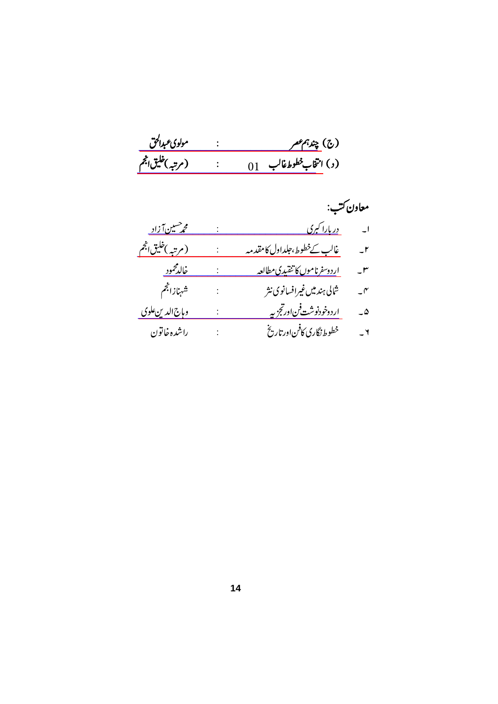|                         | معاون ڪتب:                            |                          |
|-------------------------|---------------------------------------|--------------------------|
| <u>محمر سین آزاد -</u>  | <u> در پارا کېږي</u>                  | $\overline{\phantom{a}}$ |
| <u>(مرتبه)خلیق انجم</u> | غا <u>لب کےخطوط،حلداول کامقدمہ</u>    | $-1$                     |
| <u>خالدمحمود</u>        | ا <u>ردوسفرناموں کا تنقیدی مطالعہ</u> | ۳                        |
| شهنازالجم               | شالى ہندميں غيرافسانوي نثر            | $\mathcal{N}$            |
| <u>وہاج الدین علوی</u>  | <u>اردوخودنوشت فناورتجز په</u>        | ۵۔                       |
| راشده خاتون             | خطوط نگاری کافن اورتاریخ              | $\mathsf{r}$ –           |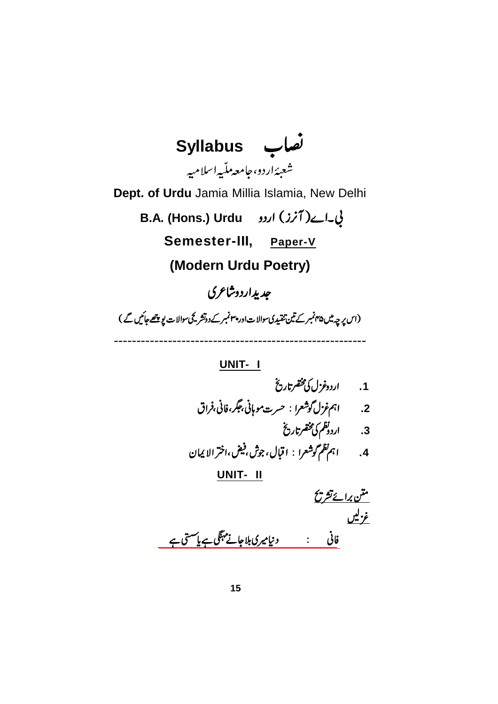**Syllabus** شعبئةاردو، جامعه ملّيه اسلاميه **Dept. of Urdu** Jamia Millia Islamia, New Delhi **B.A. (Hons.) Urdu Semester-III, Paper-V (Modern Urdu Poetry)** جدیداردوشاعری (اس پر چہ میں ۴۵ نمبر کے تین تنقیدی سوالات اور پہنمبر کے دوتشر کچی سوالات پوچھے جائیں گے ) --------------------------------------------------------

> **UNIT- I** 1. اردوغز<sup>،</sup>ل کی مخضرتاریخ **.2** 3. اردونظم کی مخضرتاریخ **.4 UNIT- II** <u>متن برائے تشریح</u> <u>غزیک</u>

<u>فانی : دنیامیری بلاجائے مہنگی ہے یا مستی ہے</u>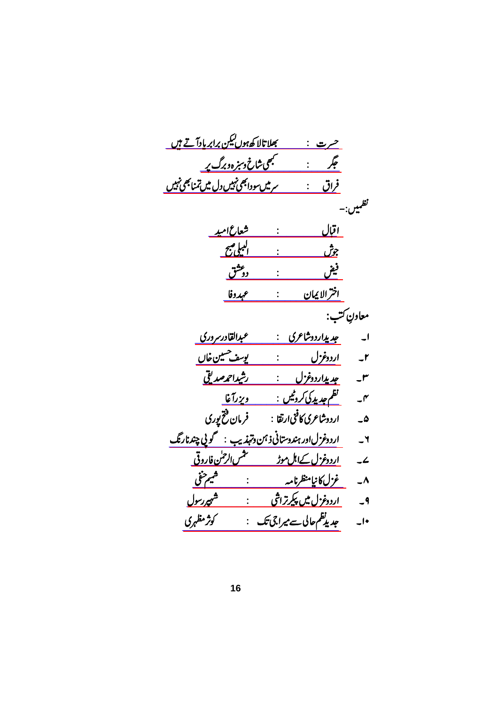| <u>بھلاتالا کھ<sup>ہوں کیک</sup>ن برابر پادآ تے ہیں</u><br><u>حرت :</u> |                          |
|-------------------------------------------------------------------------|--------------------------|
| <u>لبھی شاخ وسمزہ وبرگ پر</u><br>جگر                                    |                          |
| <u>سرمیں سودابھی نہیں دل میں تمنابھی نہیں</u><br><u>فراق</u>            |                          |
|                                                                         | نظمیں:-                  |
| <u>اقبال</u><br><u>شعاع امید</u>                                        |                          |
| البراضح<br><u>المل</u> ائع<br>جۇش                                       |                          |
| <u>ووعثق</u><br>فيق                                                     |                          |
| <u>اخترالایمان</u><br>عهدوفا                                            |                          |
|                                                                         | معاونِ ڪتب:              |
| عبدالقادرسر دري<br>جد پداردوشاعری :                                     | $\overline{\phantom{a}}$ |
| ا <u>ردوغزل</u> :<br>يوسف حسين خاں                                      | $-1$                     |
| <u>رشداحمەمدىقى</u><br>ج <u>د پداردوغزل :</u>                           | J۳                       |
| <u>نظم جدید کی کروٹیں :</u><br><u>دېزرآغا</u>                           | $\mathcal{I}$            |
| فرمان فتخ يوري<br>اردوشاعری کافی ارتقا :                                | $\overline{\bullet}$     |
| اردوغزلاور ہندوستانی <i> ذہن دہندی</i> ب : محمولی چندنارنگ              | $\mathsf{r}$             |
| <u>اردوغزل کےاہل موڑ میں الرحلن فاروقی</u>                              | $\mathcal{L}$            |
| ڪھيم حنفي<br>ڪسمبر مش <u>ت</u> م<br><u>غزل کانیامنظرنامہ</u>            | $\overline{\phantom{a}}$ |
| <u>اردوغزل میں پکرتراشی</u><br>شهپ <sub>ررسول</sub>                     | $-9$                     |
| كوثر مظہری                                                              | $\overline{\phantom{a}}$ |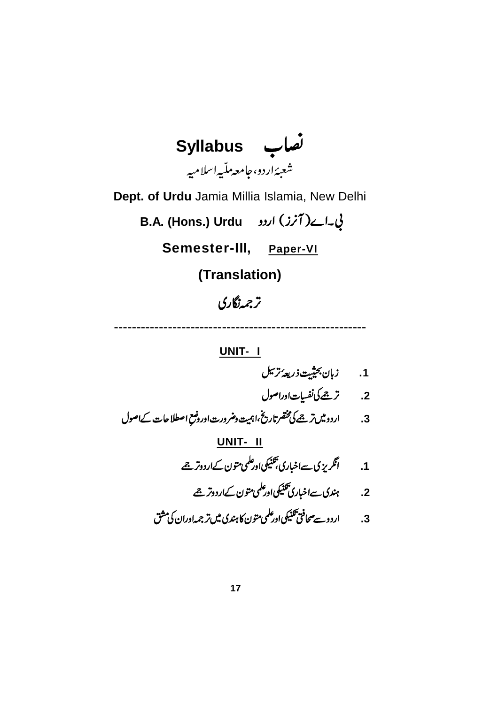

1. زبان بح<u>ثیت</u> ذریعهٔ ترسل 2. تر<u>جم</u> کی نفسیات اوراصول اردو میں ترجے کی مخضر تاریخ،اہمیت دضر درت اور دضع  $\ddot{\phantom{0}}$  **.3 UNIT- II .1** 2. *بند*ى سےاخبارى<sup>تلنيكى اورعلمى متون كےاردوتر جے</sup> **.3**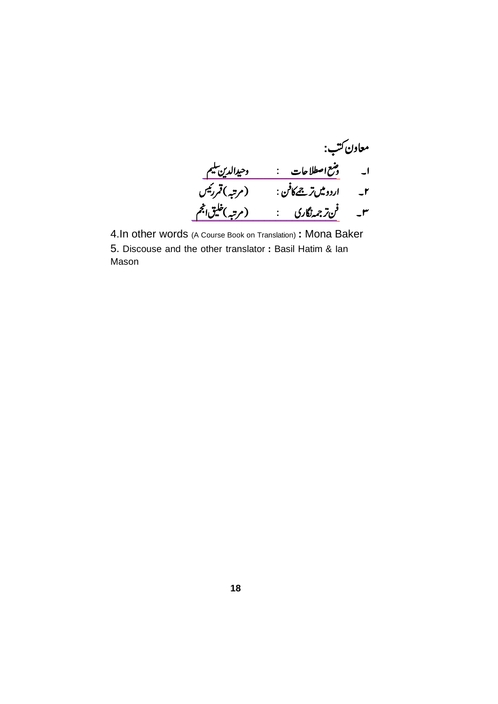$\frac{1}{2}$ حافظا جات مستقطعات المستقطعات المستقطعات المستقطعات المستقطعات المستقطعات المستقطعات المستقطعات المستقطعات  $U\setminus \mathcal{Z}$ لائر مجمدگناری مستفقی از مرتبها میں انتہ معاون کتب: ا۔ و<u>سع اصطلاحات : وحیدالدین</u> صیغ ۲۔ اردو میںترجےکافن : (مرتبہ)قمرر نیس ۳۔ ف<u>ن *زجمہ نگاری* : (مرتبہ) حکیق ا</u>نجم

4.In other words (A Course Book on Translation) **:** Mona Baker 5. Discouse and the other translator **:** Basil Hatim & Ian Mason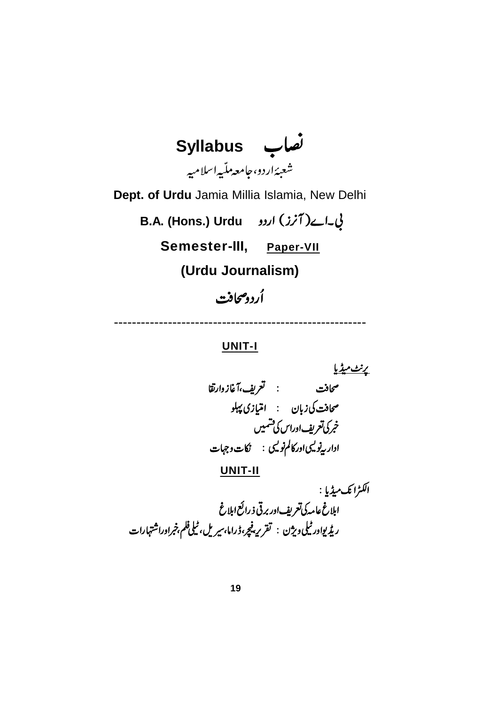

#### **UNIT-I**

<u>پرنٽ ميڙيا</u> صحافت کی زبان : امتیازی پہلو خبركى تعريف اوراس كى تشميس اداریه<sup>ن</sup>ویسی اور کالم نویسی : نکات و جہات **UNIT-II** الكٹرانگ میڈیا : ابلاغ عامه کی تعریف اور برقی ذ رائع ابلاغ .<br>ری*ڈی*واور ٹیلی ویژن : تقریر پنچر،ڈراما،سیریل،ٹیلی فلم،خبراوراشتہارات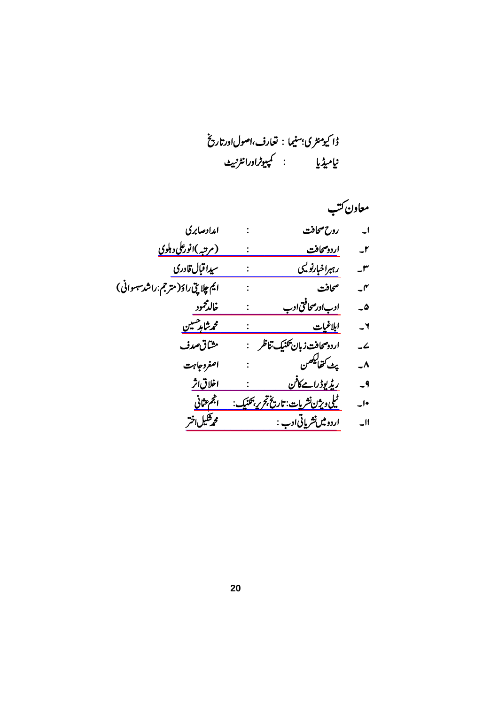|                                   |                                              | معاون ڪتب                                   |
|-----------------------------------|----------------------------------------------|---------------------------------------------|
| امدادصابري                        | روح صحافت                                    | $\mathsf{I}$                                |
| <u>(مرتبه )انورعلی د ہلوی</u>     | اردوصحافت                                    | $-1$                                        |
| سيدا قبال قادرى                   | ر ہېراخبارنوليې                              | -r                                          |
| ايم چلاپٽی راؤ(مترجم:راشد سهوانی) | صحافت                                        | $\mathcal{\mathcal{\mathcal{\mathcal{F}}}}$ |
| خالدمحمود                         | ادباور صحافتی ادب                            | ۵۔                                          |
| <u>محمشاہد مسین</u>               | ابلاغيات                                     | $-1$                                        |
| مشاق صدف                          | اردو صحافت زبان تكنيك تناظر للمج             | $\overline{\phantom{a}}$                    |
| اصغروجابهت                        | پٹ کھا <sup>لیکھ</sup> ن                     | $\overline{\phantom{a}}$                    |
| <u>اخلاق اثر</u>                  | <u>ریڈیوڈرا مےکافن</u>                       | $-9$                                        |
| الجمءثاني                         | <u> ٹیلی ویژن نشریات: تاریخ تجربہ بحنیک:</u> | $\overline{\phantom{a}}$                    |
| محمرشكيل اختر                     | اردو میں نشریاتی ادب :                       | $\Box$                                      |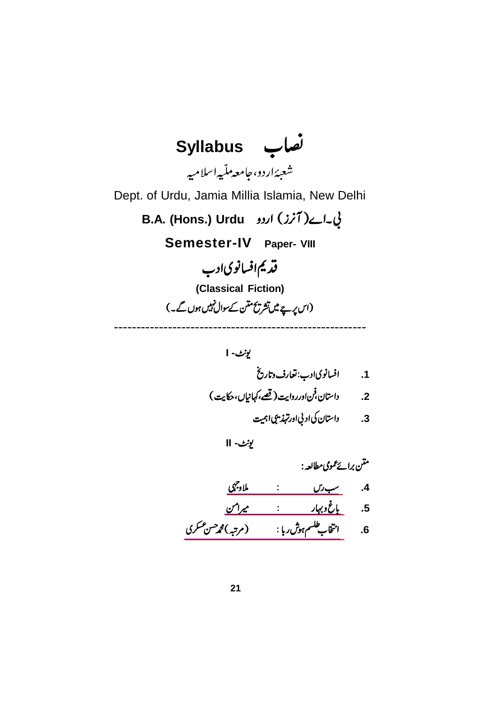

**I -** 1. افسانوی**ادب:تعارف** وتاریخ 2. داستان فن اورروايت (قص<sup>ه</sup> كهانيال، حكايت) 3. داستان کی اد بی اورتهذیبی اہمیت

**II -**

[\\_\\_\\_\\_\\_\\_\\_\\_\\_\\_\\_\\_\\_\\_\\_\\_\\_\\_\\_\\_](https://www.rekhta.org/ebooks/sab-ras-ebooks?lang=ur) [\\_\\_\\_\\_\\_\\_\\_\\_\\_\\_\\_\\_\\_\\_\\_\\_\\_\\_\\_\\_\\_](https://www.rekhta.org/ebooks/bagh-o-bahar-mir-amman-ebooks-3?lang=ur) [\\_\\_\\_\\_\\_\\_\\_\\_\\_\\_\\_\\_\\_\\_\\_\\_\\_\\_\\_\\_\\_\\_\\_\\_\\_\\_\\_\\_](https://www.rekhta.org/ebooks/intikhab-e-tilism-e-hoshruba-mohammad-hasan-askari-ebooks?lang=ur) **: .4 .5 .6**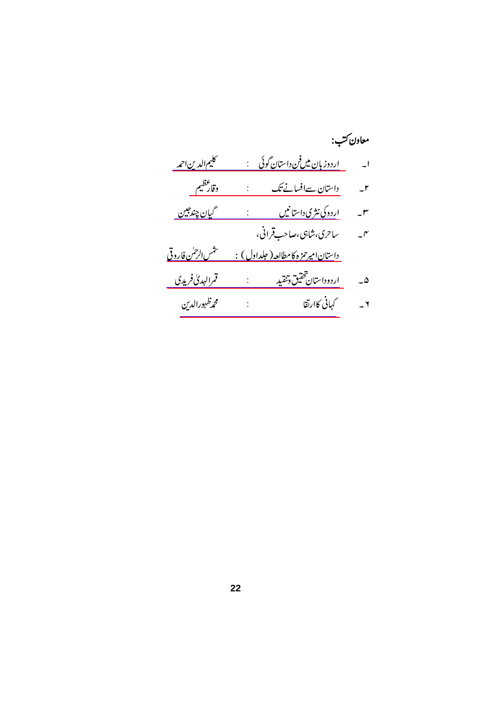|                                        |                                                       | معاون ڪتب:               |
|----------------------------------------|-------------------------------------------------------|--------------------------|
| <u>کليم الدين احمه</u>                 | <u>اردوز بان میںفن داستان گوئی پے :</u>               | $\overline{\phantom{a}}$ |
| وقارعظيم                               | دا <u>ستان سےافسانے تک</u>                            | $-1$                     |
| <u> گيان چندجين</u>                    | ا <u>ردوکی نثری داستانیں مستخ</u> ل                   | $-1$                     |
|                                        | ساحرى،شا <sup>بى</sup> ،صاحب قرانى،                   | $-\mathcal{r}$           |
| <u>نى<sup>تى</sup>س الرحمٰن فاروقى</u> | د <u>استان اميرحمزه کامطالعه ( جلداول ) :</u>         |                          |
| <u>قمرالهدی فریدی</u>                  | <u>اردوداستان شخقيق وتنقيد مستخفض :</u>               | $\overline{\omega}$      |
| محمرظهورالدين                          | كهاني كاارتقا <b>ستيل التصوير التي تصريح التي كال</b> | $-1$                     |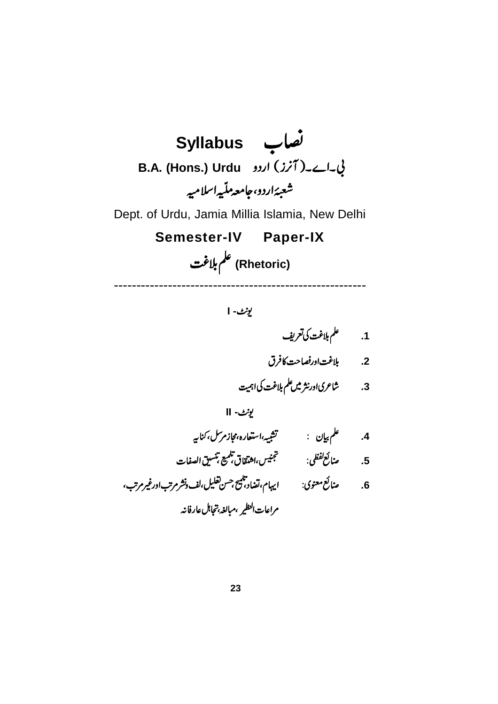

**I -**

**.1**

**.2**

**.3**

**II -**

**.4**

 **.5**

 **.6** مراعات النظير تظير ،مبالغہ بتجاہل عارفانہ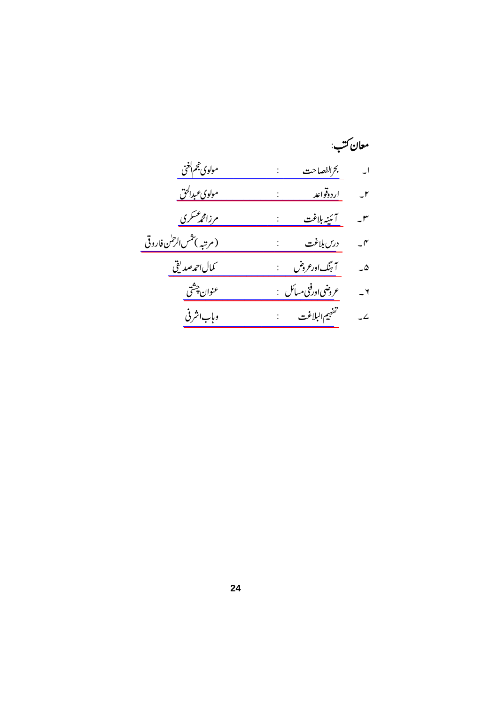|                                   | معان ڪتب:                        |                          |
|-----------------------------------|----------------------------------|--------------------------|
| مولوى خجم الغنى                   |                                  |                          |
| مولوي عبدالحق                     | <u>اردوقواعد</u>                 | $-1$                     |
| <u>مرزامجمعتكري</u>               |                                  | $-1$                     |
| (مرتبه ) <i>تثس الرح</i> ل فاروقي |                                  | $-\gamma$                |
| كمال احمەصديقى                    | آ ہنگ ورعروض :                   | $\overline{\phantom{a}}$ |
| عنوان چشتی                        | عروضی <sub>ا</sub> ورفنی مسائل : | $-1$                     |
| وہاب اشر فی                       | .<br>تفهيم البلاغت               | $\overline{\phantom{a}}$ |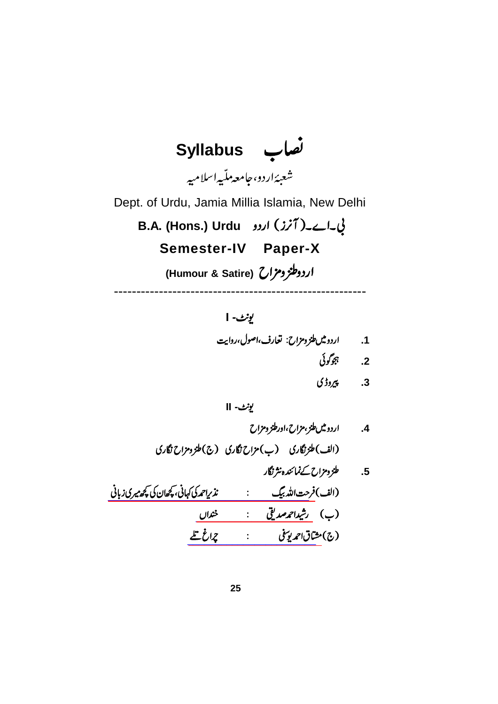

**I -** 1. اردومین طنز و مزاح: قعارف،اصول،روایت

- .<br>2. *بېوگ*وئى
	- .<br>3. *پیر*وڑی

**II -**

[\\_\\_\\_\\_\\_\\_\\_\\_\\_\\_\\_\\_\\_\\_\\_\\_\\_\\_\\_\\_\\_\\_\\_\\_\\_\\_\\_\\_\\_\\_\\_\\_\\_\\_\\_\\_](https://www.rekhta.org/ebooks/nazeer-ahmad-ki-khani-kuchh-meri-aur-kuchh-unki-zabani-mirza-farhatullah-beg-ebooks?lang=ur) [\\_\\_\\_\\_\\_\\_\\_\\_\\_\\_\\_\\_\\_\\_\\_\\_\\_\\_\\_\\_](https://www.rekhta.org/ebooks/khandan-rasheed-ahmad-siddiqui-ebooks?lang=ur) [\\_\\_\\_\\_\\_\\_\\_\\_\\_\\_\\_\\_\\_\\_\\_\\_\\_\\_\\_\\_\\_\\_\\_](https://www.rekhta.org/ebooks/charagh-tale-mushtaq-ahmad-yousufi-ebooks?lang=ur) **.4 .5**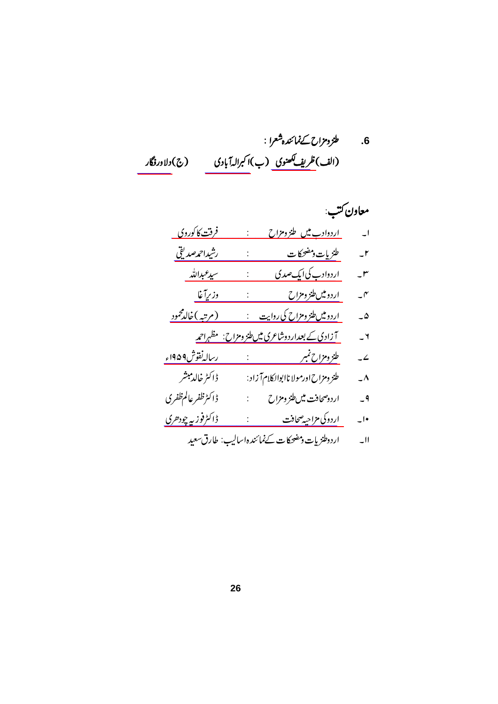6. طرّومزاح کےنمائندہشعرا :<br>(الف)ظ<u>ریف<sup>ی ک</sup>ھنوی</u> (ب)ا کبرالہ آبادی (ج)دلاورفگار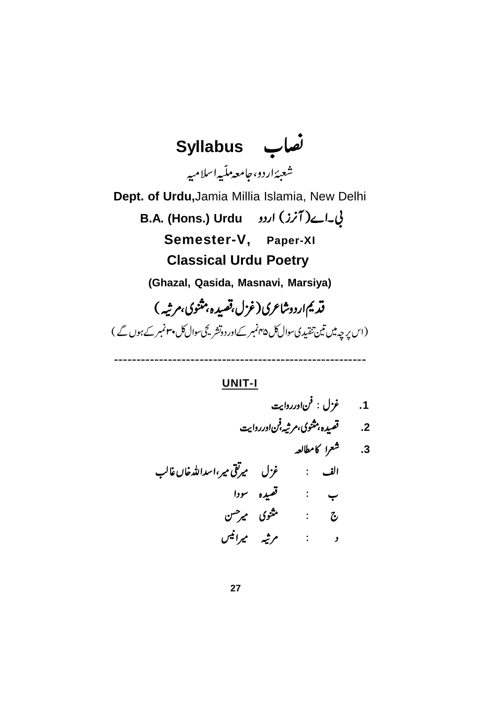**Syllabus** شعبەًاردو،حامعەمل<sup>ت</sup>ىيەاسلامىيە **Dept. of Urdu,**Jamia Millia Islamia, New Delhi **B.A. (Hons.) Urdu Semester-V, Paper-XI Classical Urdu Poetry (Ghazal, Qasida, Masnavi, Marsiya)** قدیم اردوشاعری (غزل قصیده بهثنوی،مرثیه) (اس پرچہ میں تین تنقیدی سوال کل ۴۵ نمبر کے اور دوتشر کچ سوال کل پہنمبر کے ہوں گے)

**UNIT-I**

--------------------------------------------------------

 **.1 .2 .3**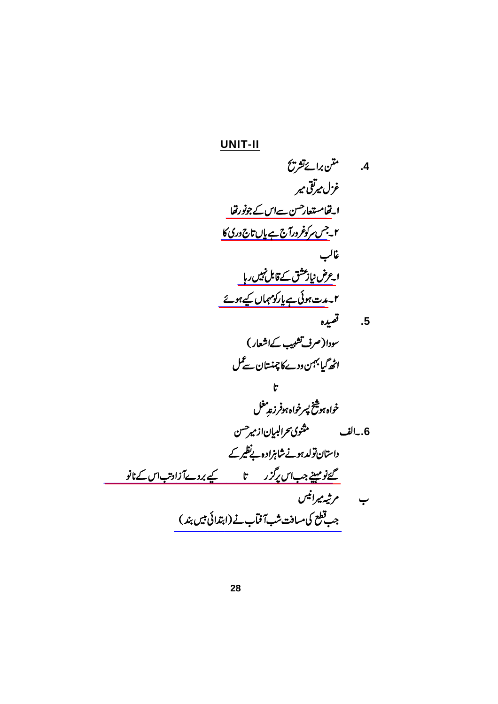4.  
\n4. 
$$
rac{7}{2}
$$
  
\n-1.  $rac{5}{2}$   
\n-1.  $rac{5}{2}$   
\n-1.  $rac{5}{2}$   
\n-1.  $rac{5}{2}$   
\n-1.  $rac{7}{2}$   
\n-1.  $rac{7}{2}$   
\n-1.  $rac{7}{2}$   
\n-1.  $rac{7}{2}$   
\n-1.  $rac{7}{2}$   
\n-1.  $rac{7}{2}$   
\n-1.  $rac{7}{2}$   
\n-1.  $rac{7}{2}$   
\n-1.  $rac{7}{2}$   
\n-1.  $rac{7}{2}$   
\n-1.  $rac{7}{2}$   
\n-1.  $rac{7}{2}$   
\n-1.  $rac{7}{2}$   
\n-1.  $rac{7}{2}$   
\n-1.  $rac{7}{2}$   
\n-1.  $rac{7}{2}$   
\n-1.  $rac{7}{2}$   
\n-1.  $rac{7}{2}$   
\n-1.  $rac{7}{2}$   
\n-1.  $rac{7}{2}$   
\n-1.  $rac{7}{2}$   
\n-1.  $rac{7}{2}$   
\n-1.  $rac{7}{2}$   
\n-1.  $rac{7}{2}$   
\n-1.  $rac{7}{2}$   
\n-1.  $rac{7}{2}$   
\n-1.  $rac{7}{2}$   
\n-1.  $rac{7}{2}$   
\n-1.  $rac{7}{2}$   
\n-1.  $rac{7}{2}$   
\n-1.  $rac{7}{2}$   
\n-1.  $rac{7}{2}$   
\n-1.  $rac{7}{2}$   
\n-1.  $rac{7}{2}$   
\n-1.  $rac{7}{2}$   
\n-1.  $rac{7}{2}$   
\n-1.  $rac{7}{2}$   
\n-1.  $rac{7}{2}$   
\n-1.  $rac{7}{2}$   
\n-1.  $rac{7}{2}$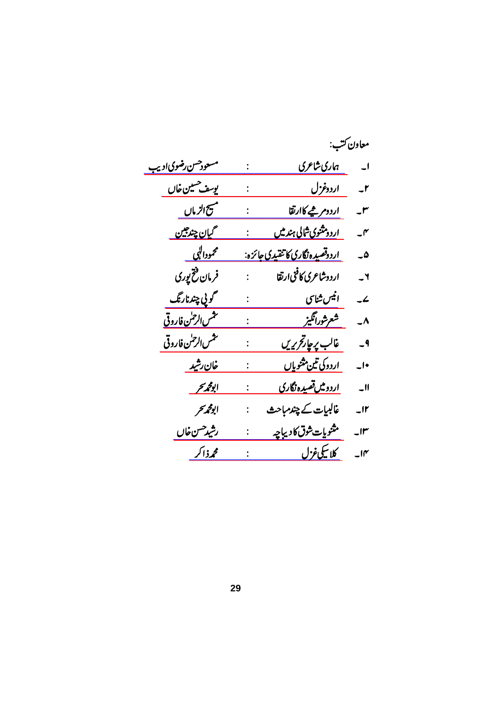|                           |                |                                        | معاون ڪتب:               |
|---------------------------|----------------|----------------------------------------|--------------------------|
| <u>مسعودحسن رضوي اديب</u> |                | ہاری شاعری                             | $\overline{\phantom{a}}$ |
| يوسف حسين خاں             |                | <u>اردوغزل</u>                         | $-r$                     |
| مسيح الزمال               |                | <u>اردومر څپه کاارتقا</u>              | $-^{\prime\prime}$       |
| <u> گيان چندجين</u>       |                | ا <u>ردومثنوی شالی ہندمیں</u>          | $-^{\prime\prime}$       |
| محمودالپی _               |                | <u>اردوقصيده نگاري کاتنقيدي جائزه:</u> | ۵۔                       |
| فرمان فتخ پوری            |                | اردوشاعرى كافنى ارتقا                  | $\mathsf{r}$             |
| گويي چندنارنگ             |                | انیس شناسی                             | $\overline{\phantom{a}}$ |
| <u>نتمس الرحس فاروقی</u>  |                | شعرشورانگیز <u>مس</u>                  | $\overline{\phantom{a}}$ |
| تنثس الرحسن فاروقى        |                | غالب پر چار <i>قری</i> ریں             | $-9$                     |
| <u>خان رشید</u>           |                | ا <u>ردوکی تین مثنویاں</u>             | $\overline{\phantom{a}}$ |
| ابومجميحر                 |                | <u>اردومیں تصیدہ نگاری</u>             | $\overline{\phantom{0}}$ |
| ابومحمر سحر               | $\ddot{\cdot}$ | غالبيات کے چندمباحث                    | $\overline{\phantom{a}}$ |
| رشيد حسن خا <u>ں</u>      |                | مثنويات شوق کاديباچه                   | $\mathsf{u}$             |
| محمذاكر                   |                | كلاسكي غزل                             | $-10^{\circ}$            |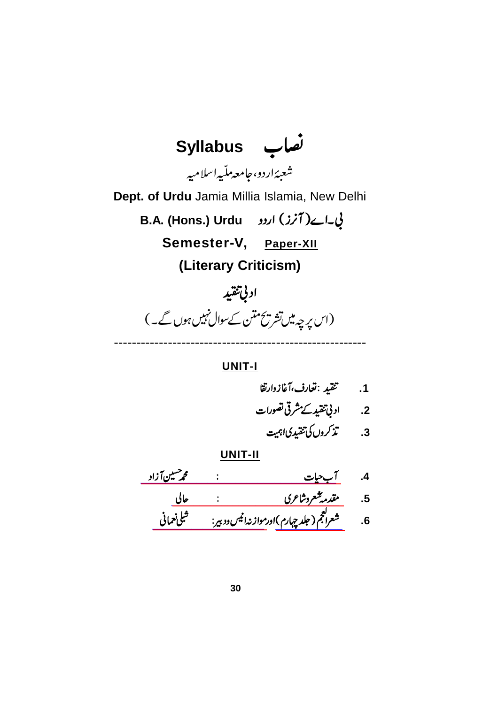**Syllabus** شعبەًاردو،حامعەمل<sup>ت</sup>ىيەاسلامىيە **Dept. of Urdu** Jamia Millia Islamia, New Delhi **B.A. (Hons.) Urdu Semester-V, Paper-XII (Literary Criticism)** ادني تنقيد

(اس پہ چہ میں تشریح ممتن کے سوال نہیں ہوں گے۔)

**UNIT-I**

--------------------------------------------------------

- 1. تحقيد :تعارف،آغازوارتقا
- 2. ادبی تنقید کے مشرقی تصورات

 **.3**

[\\_\\_\\_\\_\\_\\_\\_\\_\\_\\_\\_\\_\\_\\_\\_\\_\\_\\_\\_\\_\\_\\_\\_\\_\\_\\_\\_\\_\\_\\_\\_\\_\\_\\_\\_](https://www.rekhta.org/ebooks/aab-e-hayat-mohammad-husain-azad-ebooks-4?lang=ur) [\\_\\_\\_\\_\\_\\_\\_\\_\\_\\_\\_\\_\\_\\_\\_\\_\\_\\_\\_\\_\\_\\_\\_\\_\\_\\_\\_\\_\\_\\_](https://www.rekhta.org/ebooks/muqadama-e-sher-o-shayeri-altaf-hussain-hali-ebooks?lang=ur) **.4 .5**

[\\_\\_\\_\\_\\_\\_\\_\\_\\_\\_\\_\\_\\_\\_\\_\\_\\_\\_\\_\\_](https://www.rekhta.org/ebooks/mawazna-e-anees-o-dabeer-shibli-nomani-ebooks?lang=ur) [\\_\\_\\_\\_\\_\\_\\_\\_\\_\\_\\_\\_](https://www.rekhta.org/ebooks/sherul-ajam-volume-004-shibli-nomani-ebooks?lang=ur) **.6**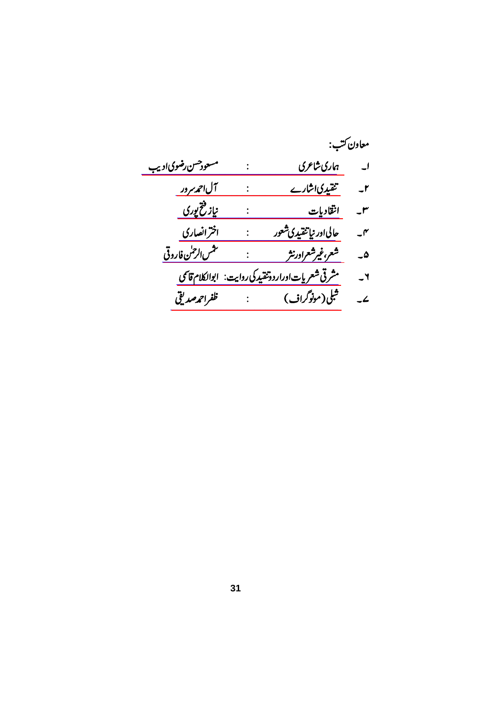|                      |                                                              | معاون ڪتب:               |
|----------------------|--------------------------------------------------------------|--------------------------|
| مسعودحسن رضوي اديب   | ہاری شاعری                                                   | $\overline{\phantom{a}}$ |
| <u>آل احمد مرور</u>  | تنقيدي اشارے                                                 | $-1$                     |
| <u>نیاز فتخ پوری</u> | انقاديات                                                     | J٣                       |
| اخترانصاری           | حالی اور نیا <u>تنقیدی شعور</u>                              | $\mathcal{I}$            |
| تنقمس الرحمن فاروقى  | شعر،غیرشعراورنثر                                             | ۵۔                       |
|                      | مشرقی شعریا <u>ت اوراردو تقدیرکی روایت: ابوالکلام قا</u> تمی | ٢۔                       |
| ظفراحمەصديقى         | شبلی(مونوگراف)                                               | $\mathcal{L}$            |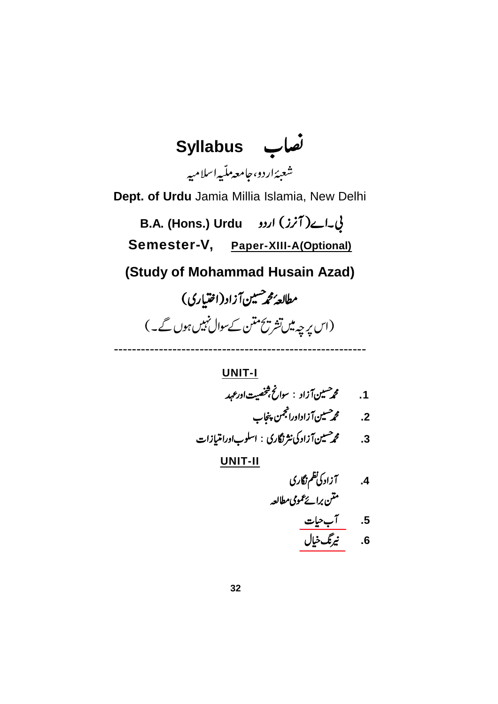

<u>اب حیات</u> **UNIT-I** 1. **محم<sup>ص</sup>ين آزاد** : سوانځ څخصيت اورعهد 2. محم<sup>صيين</sup> آزاداورانجمن پنجاب 3. محم<sup>صیین</sup> آزاد کی نثر نگاری : اسلوباورامتیازات **UNIT-II** 4. آزادگی<sup>نظم ن</sup>گاری متن برائے عمومی مطالعہ **.5** 6. *ن<sub>ىرى</sub>گ*ىخيال

 $\frac{L}{L}$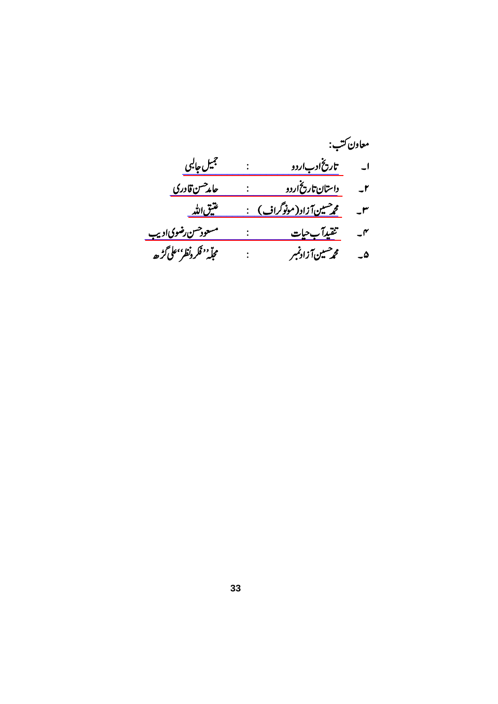|                          | معاون ڪتب:                     |                    |
|--------------------------|--------------------------------|--------------------|
| جميل جالبى               | تاریخ ا <u>دب</u> اردو         | اب                 |
| حام <sup>حسن</sup> قادری | <u> داستان تاریخ اردو</u>      | $-1$               |
| <u>عتیق الله</u>         | <u> محمشینآزاد(مونوگراف) :</u> | $-^{\prime\prime}$ |
| مسعودحسن رضوي اديب       | تثقيدآب حيات                   | $\mathcal{N}$      |
| مجلّه''فكرونظر''على گرُھ | محمر هنين آزادنمبر             | ۵۔                 |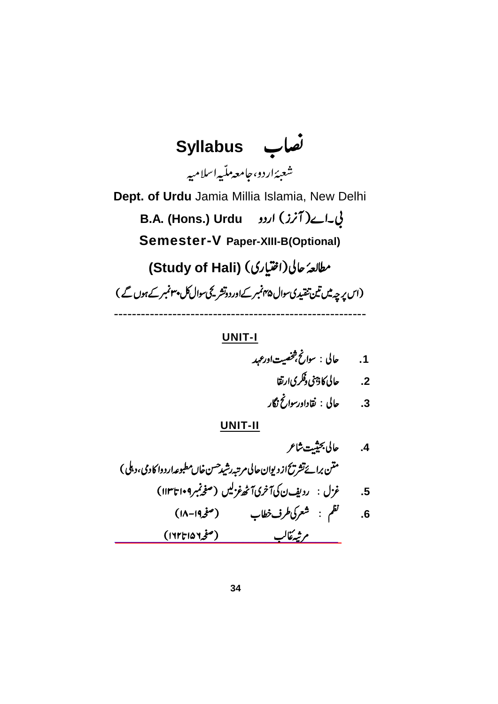**Syllabus** شعبەًاردو،حامعەمل<sup>ت</sup>ىيەاسلامىيە **Dept. of Urdu** Jamia Millia Islamia, New Delhi **B.A. (Hons.) Urdu Semester-V Paper-XIII-B(Optional) (Study of Hali)**  (اس پرچہ میں تین تنقیدی سوال پہنمبر کےاوردوتشر کچی سوال کل پہنمبر کے ہوں گے ) --------------------------------------------------------

### **UNIT-I**

 **.1 .2**

**.3**

[\\_\\_\\_\\_\\_\\_\\_\\_\\_\\_\\_\\_\\_\\_\\_\\_\\_\\_\\_\\_\\_\\_\\_\\_\\_\\_\\_\\_\\_\\_\\_\\_\\_\\_\\_\\_\\_\\_\\_\\_](https://www.rekhta.org/ebooks/deewan-e-hali-ebooks?lang=ur) **.4 .5 .6**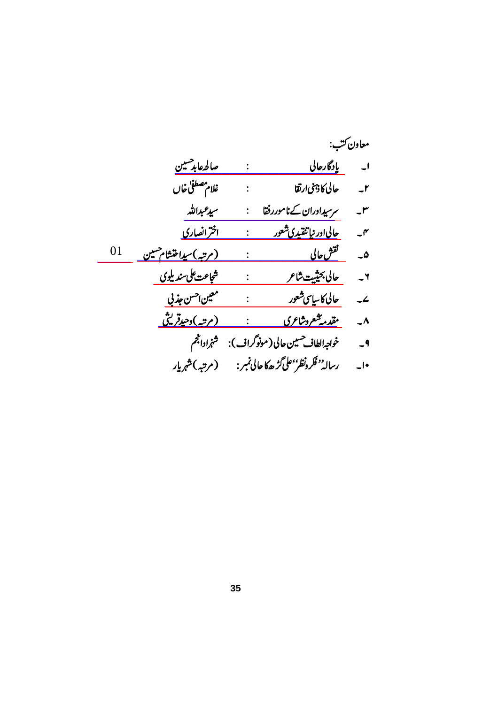|    |                              |                           |                                                    | معاون ڪتب:               |
|----|------------------------------|---------------------------|----------------------------------------------------|--------------------------|
|    | صالحهابد حسين                |                           | بإدگارحالى<br>$\mathbb{R}^n$ . The $\mathbb{R}^n$  | $\overline{\phantom{a}}$ |
|    | غلام مصطفى خال               | $\mathbb{R}^{\mathbb{Z}}$ | حالى كاذئنى ارتقا                                  | $-1$                     |
|    | سيدعبرالله                   |                           | مرسیدادران کےناموررفقا                             | $-r$                     |
|    | <u>اخرْانصاری</u>            |                           | <u>حالیاادر نپاتنقیدی شعور</u>                     | $\mathcal{I}$            |
| 01 | <u>(مرتبه)سیداختشام هسین</u> |                           | تقش حالی                                           | ۵۔                       |
|    | شجاعت على سنديلوى            | $\ddot{\cdot}$            | حالى بحثيت شاعر                                    | $-4$                     |
|    | معين احسن جذني               | $\ddot{\cdot}$            | حالی کاسایپ شعور                                   | $\overline{\phantom{a}}$ |
|    | (مرتبہ)دحیدقریتی             |                           | <u>مقدمه شعروشاعری</u>                             | $\overline{\phantom{a}}$ |
|    | شنج اداجحم                   |                           | خواجهالطاف حسين حالى (مونوگراف):                   | $-9$                     |
|    | (مرتبه)شهرمار                |                           | رسالہ <sup>ٰ د</sup> فکرونظرٰ'علی گڑھکاحالی نمبر : | $-1$                     |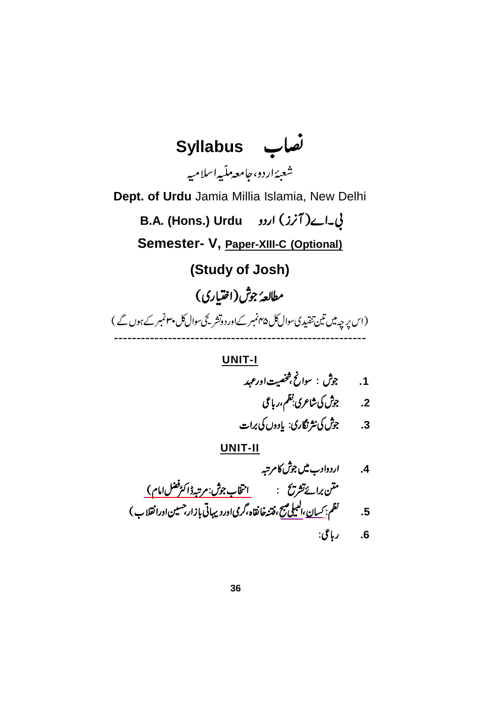

**.1**

**.2**

**.3**

[\\_\\_\\_\\_\\_\\_\\_\\_\\_\\_\\_\\_\\_\\_\\_\\_\\_\\_\\_](https://www.rekhta.org/ebooks/intikhab-e-kulliyat-e-josh-ebooks?lang=ur) [\\_\\_\\_\\_](https://www.rekhta.org/nazms/albelii-subh-josh-malihabadi-nazms?lang=ur) [\\_\\_\\_](https://www.rekhta.org/nazms/kisaan-josh-malihabadi-nazms?lang=ur) **.4 .5 .6**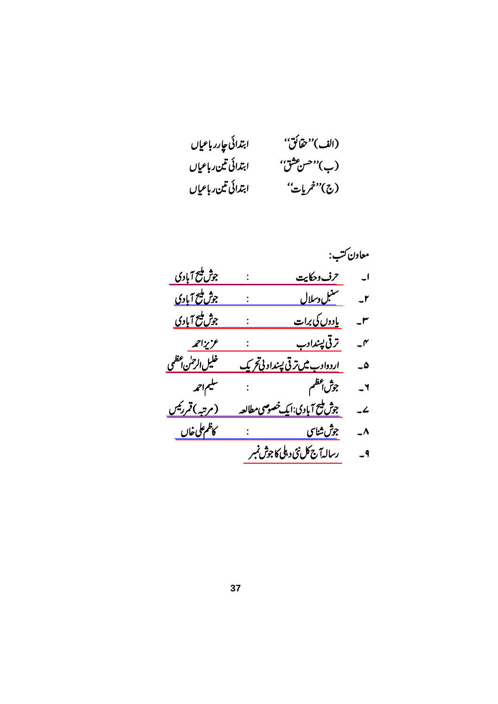| ابتدائى عإرر باعياں | (الف)" ثقائق" |
|---------------------|---------------|
| ابتدائى تين رباعياں | (ب)"حس عثق"   |
| ابتدائى تين رباعياں | (ج)"خمريات"   |

|                       |                                                  | معاون ڪتب:               |
|-----------------------|--------------------------------------------------|--------------------------|
| جوش مليح آبادى        | حرف وحكايت                                       | $\overline{\phantom{a}}$ |
| <u>جوش ملیح آبادی</u> | سنب <u>ل وسلال</u>                               | $-1$                     |
| <u>جوش پنج آبادی</u>  | بإدوں کی برات                                    | J٣                       |
| عزيزاحمه              | ترتی پښدادب                                      | ۴-                       |
| خليل الرحمن أعظمي     | <u>اردوادب میں ترقی پسداد نی تحریک</u>           | ۵۔                       |
| سليماحمه              | جوش <sup>4ظ</sup> م بن ا                         | ٢۔                       |
| (مرتبہ)قمررٹیس        | جو <u>ش<sup>لیع</sup> آبادی:ایک خصوصی مطالعه</u> | $\mathcal{L}$            |
| كأظم على خان          | <u>جوش شاس ہے:</u>                               | ۸_                       |
|                       | رسالهآج كل نئى د ، پلى كاجوش نمبر                | $-9$                     |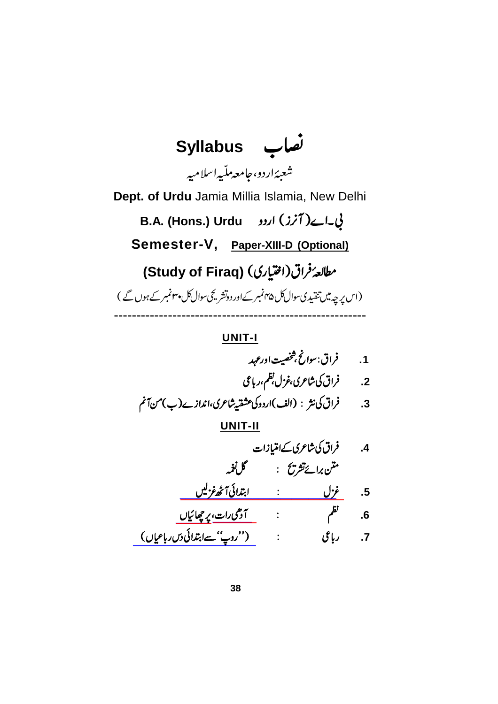**Syllabus** شعبەًاردو،حامعەمل<sup>ت</sup>ىيەاسلامىيە **Dept. of Urdu** Jamia Millia Islamia, New Delhi **B.A. (Hons.) Urdu Semester-V, Paper-XIII-D (Optional) (Study of Firaq)**  (اس پر چہ میں تنقیدی سوال کل ۴۵ نمبر کے اور دوتشر کچ سوال کل پہنمبر کے ہوں گے ) --------------------------------------------------------

 **.1 .2 .3 UNIT-II**

4.  
4.  
5. 
$$
4\sqrt{2}
$$
  
5.  $4\sqrt{2}$   
6.  $4\sqrt{2}$   
7.  $4\sqrt{2}$   
7.  $4\sqrt{2}$   
7.  $4\sqrt{2}$   
7.  $4\sqrt{2}$   
7.  $4\sqrt{2}$   
10.  $4\sqrt{2}$   
11.  $4\sqrt{2}$   
12.  $4\sqrt{2}$   
13.  $4\sqrt{2}$   
14.  $4\sqrt{2}$   
15.  $4\sqrt{2}$   
16.  $4\sqrt{2}$   
17.  $4\sqrt{2}$   
19.  $4\sqrt{2}$   
10.  $4\sqrt{2}$   
10.  $4\sqrt{2}$   
11.  $4\sqrt{2}$   
12.  $4\sqrt{2}$   
13.  $4\sqrt{2}$   
14.  $4\sqrt{2}$   
15.  $4\sqrt{2}$   
16.  $4\sqrt{2}$   
17.  $4\sqrt{2}$   
19.  $4\sqrt{2}$   
10.  $4\sqrt{2}$   
11.  $4\sqrt{2}$   
12.  $4\sqrt{2}$   
13.  $4\sqrt{2}$   
14.  $4\sqrt{2}$   
15.  $4\sqrt{2}$   
16.  $4\sqrt{2}$   
17.  $4\sqrt{2}$   
18.  $4\sqrt{2}$   
19.  $4\sqrt{2}$   
10.  $4\sqrt{2}$   
11.  $4\sqrt{2}$   
12.  $4\sqrt{2}$   
13.  $4\sqrt{2}$   
14.  $4\sqrt{2}$   
15.  $4\sqrt{2}$   
16.  $4\sqrt{2}$   
17.  $4\sqrt{2}$   
18.  $4\sqrt{2}$   
19.  $4\sqrt{2}$   
10.  $4\sqrt{2}$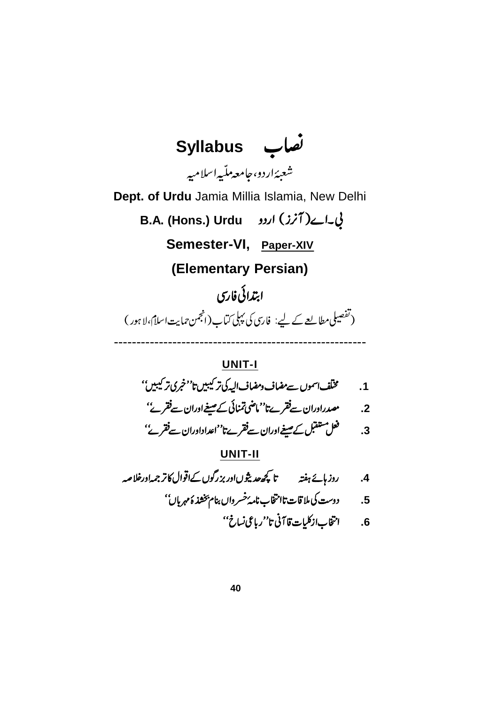

 **.1 .2**

**.3**

$$
\frac{\mathsf{UNIT-II}}{\mathsf{A}}
$$

**.4**

 **.5**

**.6**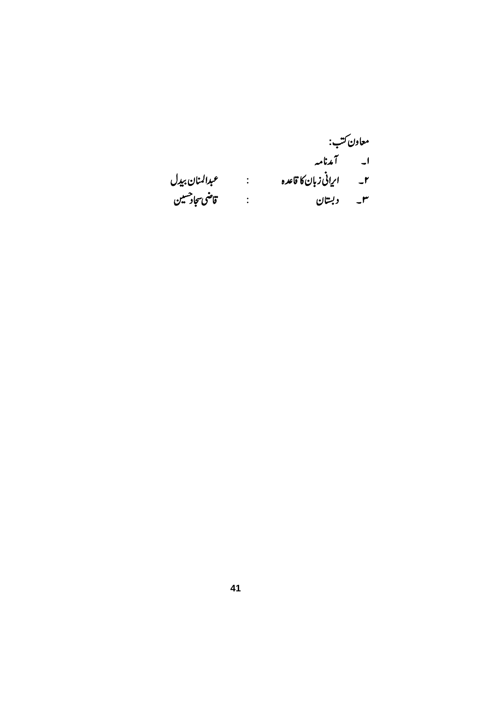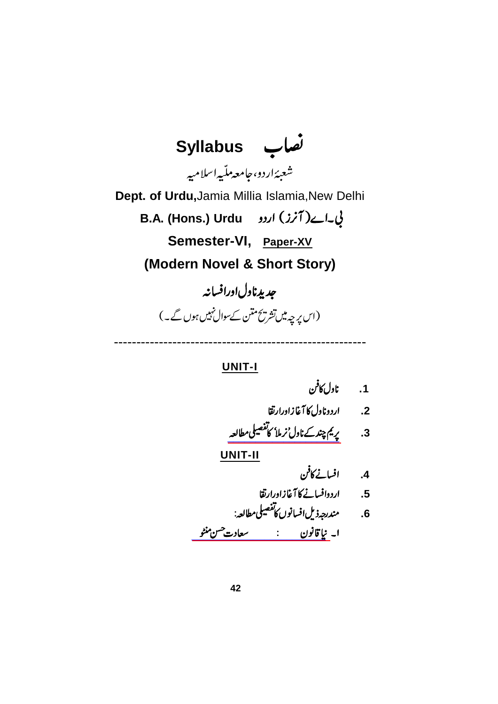

--------------------------------------------------------

**UNIT-I**

2. اردوناول کا آغازاورارتقا

[\\_\\_\\_\\_\\_\\_\\_\\_\\_\\_\\_\\_\\_\\_\\_\\_\\_\\_\\_\\_](https://www.rekhta.org/ebooks/nirmala-munshi-prem-chand-ebooks?lang=ur) **.3**

**.4**

**.5**

[\\_\\_\\_\\_\\_\\_\\_\\_\\_\\_\\_\\_\\_\\_\\_\\_\\_\\_\\_\\_\\_\\_\\_\\_](https://www.rekhta.org/manto/naya-qanun-saadat-hasan-manto-manto?lang=ur) **.6**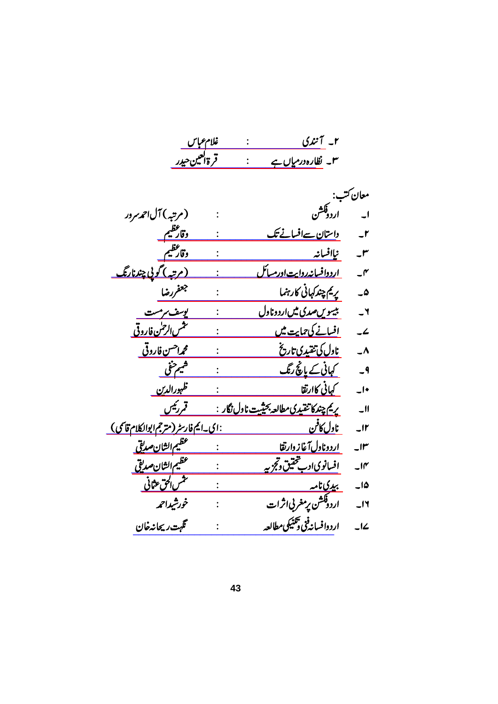|                          | ۲_ آنندی                                          | غلام ع <u>باس</u> |                                                |
|--------------------------|---------------------------------------------------|-------------------|------------------------------------------------|
|                          | ۳۔ نظارہ در م <u>ہاں ہ</u> ے                      | قرةالعين حيدر     |                                                |
|                          |                                                   |                   |                                                |
| معان ڪتب:                |                                                   |                   |                                                |
| $\overline{\phantom{0}}$ | .<br>اردوفشن                                      |                   | (مرتبه) آل حمەسردر                             |
| $-1$                     | <u>داستان سےافسانے تک</u>                         |                   | <u>وقارعظيم</u>                                |
| $-^{\prime\prime}$       | نياافسانه                                         |                   | وقارعظيم                                       |
| $-\mathsf{r}'$           | <u>اردوافسانه روایت اورمسائل</u>                  |                   | <u>(مرتبه) گویی چندنارنگ</u>                   |
| $ \omega$                | پريم چندکہانی کارہنما                             |                   | جعفررضا                                        |
| $-1$                     | <u>بیسویں صدی میں اردوناول</u>                    |                   | <u>یوسف سرمست</u>                              |
| $\overline{\phantom{a}}$ | <u>افسانے کی حمایت میں</u>                        |                   | <u>نىش الرحمٰن فاروقى</u>                      |
| $\overline{\phantom{a}}$ | <u>ناول کی تنقیدی تاریخ</u>                       |                   | <u>محم<sup>احس</sup>ن فاروقی</u>               |
| $-9$                     | <u>کہانی کے پانچ رنگ</u>                          |                   | شيم حنفى                                       |
| $-1$                     | <u>کہانی کاارتقا</u>                              |                   | <u>ظہورالدین</u>                               |
| $\overline{\phantom{0}}$ | <u>ىريم چندكا تقيدى مطالعه بحيثيت ناول نگار :</u> |                   | قمررئيس                                        |
| $\overline{\phantom{a}}$ | نا <u>ول کافن</u>                                 |                   | <u>: ای-ایم فارسٹر (مترجم ابوالکلام قاسمی)</u> |
| $\mathsf{J} \mathsf{f}$  | اردوناول آغاز دارتقا                              |                   | عظيم الثان صديقي                               |
| $\overline{\mathcal{M}}$ | <u>افسانوي ادب تحقیق وتجزیه</u>                   |                   | عظيم الشا <u>ن</u> صديق                        |
| $-10$                    | <u>بىدىنامە </u>                                  |                   | تش <u>س الحق</u> عثانی                         |
| $\overline{\phantom{0}}$ | اردوڤکشن پرمغربي ثرات                             |                   | خورشيداحمه                                     |
| $-L$                     | اردوافسانه فئ دَنْتَيْكي مطالعه                   |                   | گھہت ریجانہ خان                                |
|                          |                                                   |                   |                                                |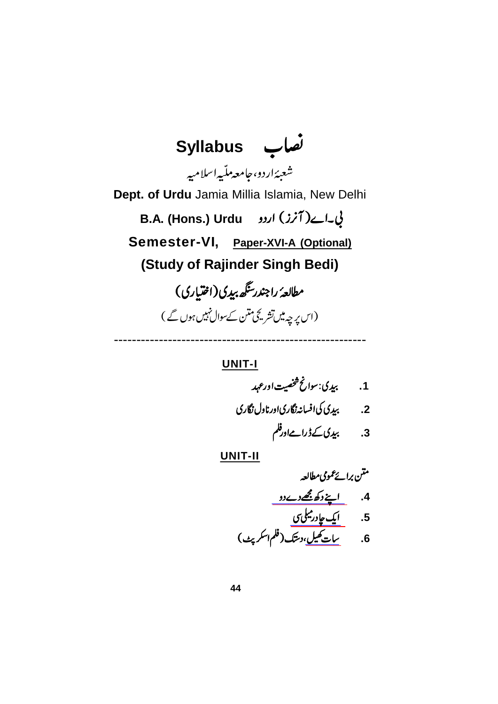**Syllabus** شعبەًاردو،حامعەمل<sup>ت</sup>ىيەاسلامىيە **Dept. of Urdu** Jamia Millia Islamia, New Delhi **B.A. (Hons.) Urdu Semester-VI, Paper-XVI-A (Optional) (Study of Rajinder Singh Bedi)** مطالعهٔ راجندرسگھ بیدی(اختیاری) (اس پہ چہ میں تشریحی منٹن کے سوال نہیں ہوں گے )

**UNIT-I**

--------------------------------------------------------

 **.1 .2**

**.3**

[\\_\\_\\_\\_\\_\\_\\_\\_\\_\\_\\_\\_\\_](https://www.rekhta.org/manto/apne-dukh-mujhe-de-do-rajendar-singh-bedi-manto?lang=ur) [\\_\\_\\_\\_\\_\\_\\_\\_\\_](https://www.rekhta.org/ebooks/ek-chadar-maili-si-ebooks?lang=ur) [\\_\\_\\_\\_\\_\\_](https://www.rekhta.org/ebooks/saat-khel-rajendar-singh-bedi-ebooks-3?lang=ur) **.4 .5 .6**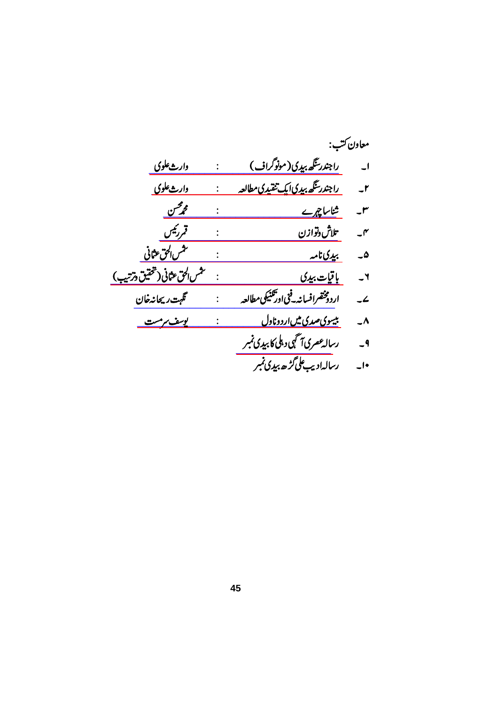|                                |                                            | معاون ڪتب:               |
|--------------------------------|--------------------------------------------|--------------------------|
| وارث علوي                      | <u>راجندر تگھ بیدی(مونوگراف)</u>           | $\overline{\phantom{a}}$ |
| وارث علوي                      | <u>راجندر تگھ بیدی ایک تقیدی مطالعہ</u>    | $-1$                     |
| <u> محمر اس</u>                | <u>شناساچرے</u>                            | J٣                       |
| قمررئيس                        | تلاش وتوازن                                | $\mathcal{I}$            |
| تش <u>س الحق عثانی</u>         | <u>بىدىنامە</u>                            | ۵۔                       |
| تثمس الحق عثانى (تحقيق درتنيب) | <u>باقيات بيدي</u>                         | $\mathbf{r}$             |
| گهت ریجانه خان                 | اردومخضرافسانه فخىاودتكنيكى مطالعه         | $\overline{\phantom{a}}$ |
| <u>يوسف سرمست</u>              | <u>بیسوی صدی میں اردوناول</u>              | ۸_                       |
|                                | رسال <i>ه عصر</i> ی آگہی دہلی کا بیدی نمبر | $-9$                     |
|                                | رسالہادیب علی گڑھ بیدی نمبر                | $\overline{\phantom{a}}$ |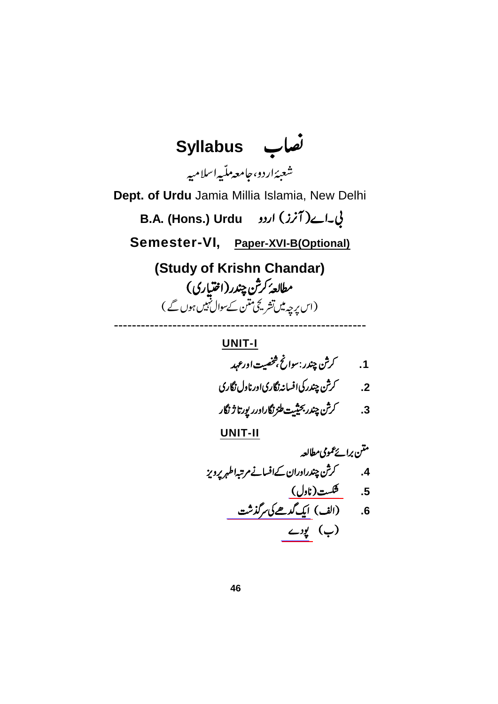

1.  
\n1. 
$$
\sqrt{}
$$
  
\n2.  $\sqrt{}$   
\n3.  $\sqrt{}$   
\n4.  $\sqrt{}$   
\n5.  $\sqrt{}$   
\n6.  $\sqrt{}$   
\n7.  $\sqrt{}$   
\n8.  $\sqrt{}$   
\n9.  $\sqrt{}$   
\n10.  $\sqrt{}$   
\n11.  $\sqrt{}$   
\n12.  $\sqrt{}$   
\n13.  $\sqrt{}$   
\n14.  $\sqrt{}$   
\n15.  $\sqrt{}$   
\n16.  $\sqrt{}$   
\n17.  $\sqrt{}$   
\n18.  $\sqrt{}$   
\n19.  $\sqrt{}$   
\n20.  $\sqrt{}$   
\n31.  $\sqrt{}$   
\n42.  $\sqrt{}$   
\n43.  $\sqrt{}$   
\n44.  $\sqrt{}$   
\n45.  $\sqrt{}$   
\n46.  $\sqrt{}$   
\n47.  $\sqrt{}$   
\n48.  $\sqrt{}$   
\n49.  $\sqrt{}$   
\n40.  $\sqrt{}$   
\n41.  $\sqrt{}$   
\n42.  $\sqrt{}$   
\n43.  $\sqrt{}$   
\n44.  $\sqrt{}$   
\n45.  $\sqrt{}$   
\n46.  $\sqrt{}$   
\n47.  $\sqrt{}$   
\n48.  $\sqrt{}$   
\n49.  $\sqrt{}$   
\n40.  $\sqrt{}$   
\n41.  $\sqrt{}$   
\n42.  $\sqrt{}$   
\n43.  $\sqrt{}$   
\n44.  $\sqrt{}$   
\n45.  $\sqrt{}$   
\n46.  $\sqrt{}$   
\n47.  $\sqrt{}$   
\n49.  $\sqrt{}$   
\n40.  $\sqrt{}$   
\n41.  $\sqrt{}$   
\n42.  $\sqrt{}$   
\n43.  $\sqrt{}$   
\n44.  $\sqrt{}$   
\n45.  $\sqrt{}$   
\n46.  $\sqrt{}$   
\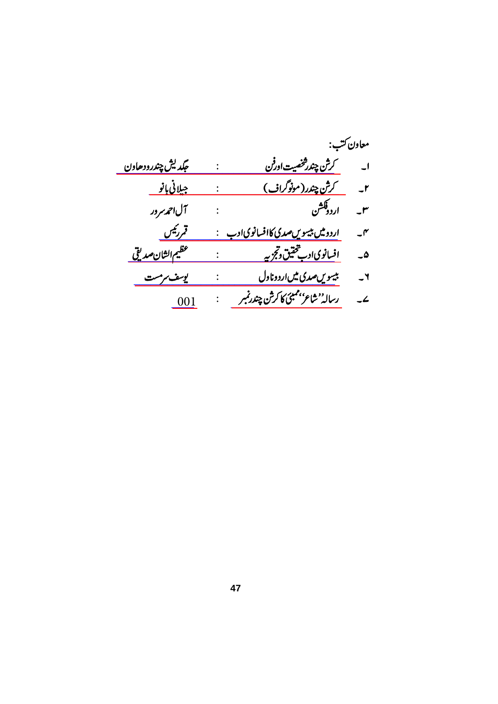|                          |                                                    | معاون ڪتب:               |
|--------------------------|----------------------------------------------------|--------------------------|
| <i>جگد</i> يش چندرودھاون | کرش چندرشخصیت اورفن                                | $\overline{\phantom{a}}$ |
| <u>جيلانى بانو</u>       |                                                    |                          |
| آل احمد سرور             | اردوقکشن                                           | $-1$                     |
| <u>قمرئیں</u>            | <u>اردومیں بیسویں صدی کاافسانوی ادب     :</u>      | $\mathcal{N}$            |
| عظيم الثا <u>ن صديقى</u> | اف <u>سانویاادب<sup>خت</sup>قیق وتجزیه پیستنده</u> | ۵۔                       |
| <i>يوسف مرمس</i> ت       | <u>بىيىويں صدى مىں اردوناول</u>                    | $-1$                     |
| - 001                    | رسالە <sup>د</sup> شاعر بىمبئى كاڭرش چندرنمبر      | $\overline{\phantom{a}}$ |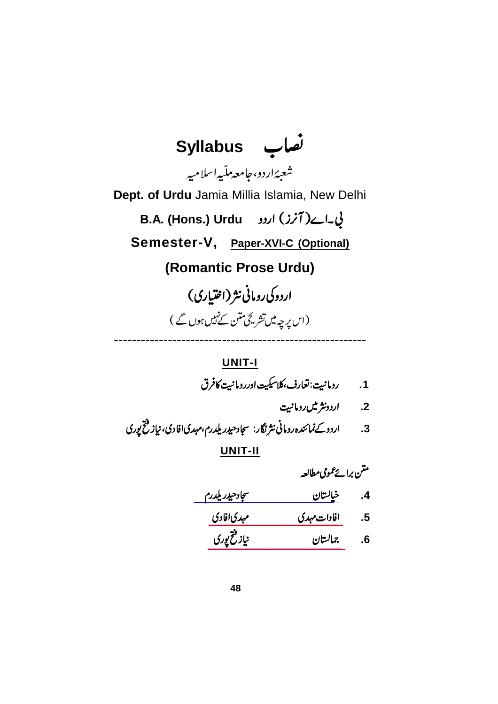**Syllabus** شعبەًاردو،حامعەمل<sup>ت</sup>ىيەاسلامىيە **Dept. of Urdu** Jamia Millia Islamia, New Delhi **B.A. (Hons.) Urdu Semester-V, Paper-XVI-C (Optional) (Romantic Prose Urdu)** اردوکی رومانی نثر (اختیاری) (اس پرچہ میں تشریحی ممنن کے نہیں ہوں گے )

#### **UNIT-I**

--------------------------------------------------------

 **.1**

- 2. اردونثر میں رومانیت
- **.3**

| متنن برائح عمومى مطالعه |  |
|-------------------------|--|
| كالمس                   |  |

| <u>سجاد حيدر يلدرم</u> | خيالستان            | $\cdot$         |
|------------------------|---------------------|-----------------|
| مہدیافادی              | افادات <i>مہد</i> ی | $.5\phantom{0}$ |
| نياز فتخ پوری          | جمالستان            | .6              |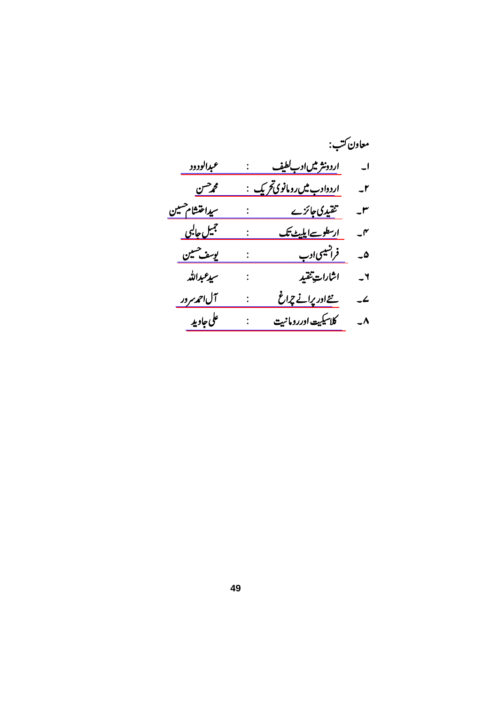|                      |                           |                                      | معاون ڪتب:               |
|----------------------|---------------------------|--------------------------------------|--------------------------|
| عبدالودود            |                           | <u>اردونثر میںادب لطیف</u>           | $\overline{\phantom{a}}$ |
| محمرحسن              |                           | ا <u>ردوادب میں رومانوی ت</u> حریک : | $-1$                     |
| سيداختشام حسين       | $\mathbb{R}^{\mathbb{Z}}$ | تنقیدی جائزے                         | $-r$                     |
| <u>جمیل جالبی</u>    |                           | ارسطوسےاپلیٹ تک                      | $-\mathsf{r}$            |
| يوسف حسين            |                           | فرانسیسی ادب                         | ھ۔                       |
| سيدعبداللد           | $\ddot{\cdot}$            | اشارات تنقيد                         | $-1$                     |
| آل اح <u>مد سرور</u> |                           | نےاور پرانے چ <sub>د</sub> اغ        | $\overline{\phantom{a}}$ |
| على جاويد            |                           | كلاسيكيت اوررومانيت                  | $\overline{\phantom{a}}$ |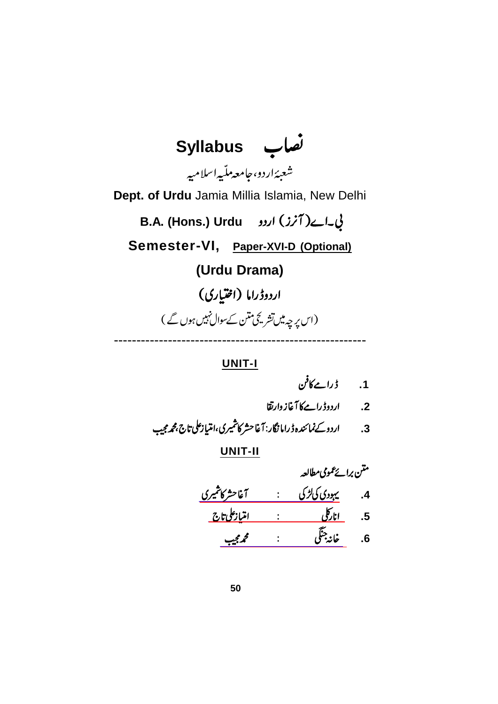

**UNIT-I**

**.1**

**.2**

**.3**

|                      |   | متن برائے عمومی مطالعہ |                 |
|----------------------|---|------------------------|-----------------|
| آغاحشر كاشميري       |   | یہودی کی گڑ کی         | $\cdot$         |
| <u>امتيازعلى تاج</u> | ٠ | <u>انارگل</u>          | $.5\phantom{0}$ |
| محمجيب               |   | خانه جنگي              | 6.              |